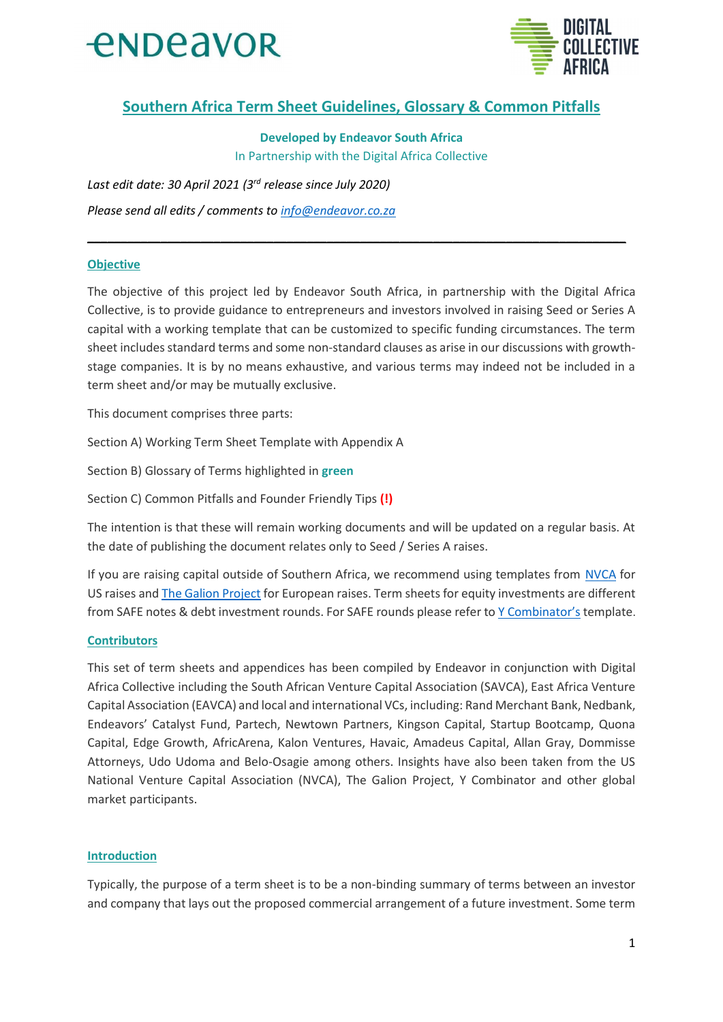



## **Southern Africa Term Sheet Guidelines, Glossary & Common Pitfalls**

**Developed by Endeavor South Africa** 

In Partnership with the Digital Africa Collective

Last edit date: 30 April 2021 (3rd release since July 2020) Please send all edits / comments to info@endeavor.co.za

### **Objective**

The objective of this project led by Endeavor South Africa, in partnership with the Digital Africa Collective, is to provide guidance to entrepreneurs and investors involved in raising Seed or Series A capital with a working template that can be customized to specific funding circumstances. The term sheet includes standard terms and some non-standard clauses as arise in our discussions with growthstage companies. It is by no means exhaustive, and various terms may indeed not be included in a term sheet and/or may be mutually exclusive.

This document comprises three parts:

Section A) Working Term Sheet Template with Appendix A

Section B) Glossary of Terms highlighted in green

Section C) Common Pitfalls and Founder Friendly Tips (!)

The intention is that these will remain working documents and will be updated on a regular basis. At the date of publishing the document relates only to Seed / Series A raises.

If you are raising capital outside of Southern Africa, we recommend using templates from NVCA for US raises and The Galion Project for European raises. Term sheets for equity investments are different from SAFE notes & debt investment rounds. For SAFE rounds please refer to Y Combinator's template.

### **Contributors**

This set of term sheets and appendices has been compiled by Endeavor in conjunction with Digital Africa Collective including the South African Venture Capital Association (SAVCA), East Africa Venture Capital Association (EAVCA) and local and international VCs, including: Rand Merchant Bank, Nedbank, Endeavors' Catalyst Fund, Partech, Newtown Partners, Kingson Capital, Startup Bootcamp, Quona Capital, Edge Growth, AfricArena, Kalon Ventures, Havaic, Amadeus Capital, Allan Gray, Dommisse Attorneys, Udo Udoma and Belo-Osagie among others. Insights have also been taken from the US National Venture Capital Association (NVCA), The Galion Project, Y Combinator and other global market participants.

### **Introduction**

Typically, the purpose of a term sheet is to be a non-binding summary of terms between an investor and company that lays out the proposed commercial arrangement of a future investment. Some term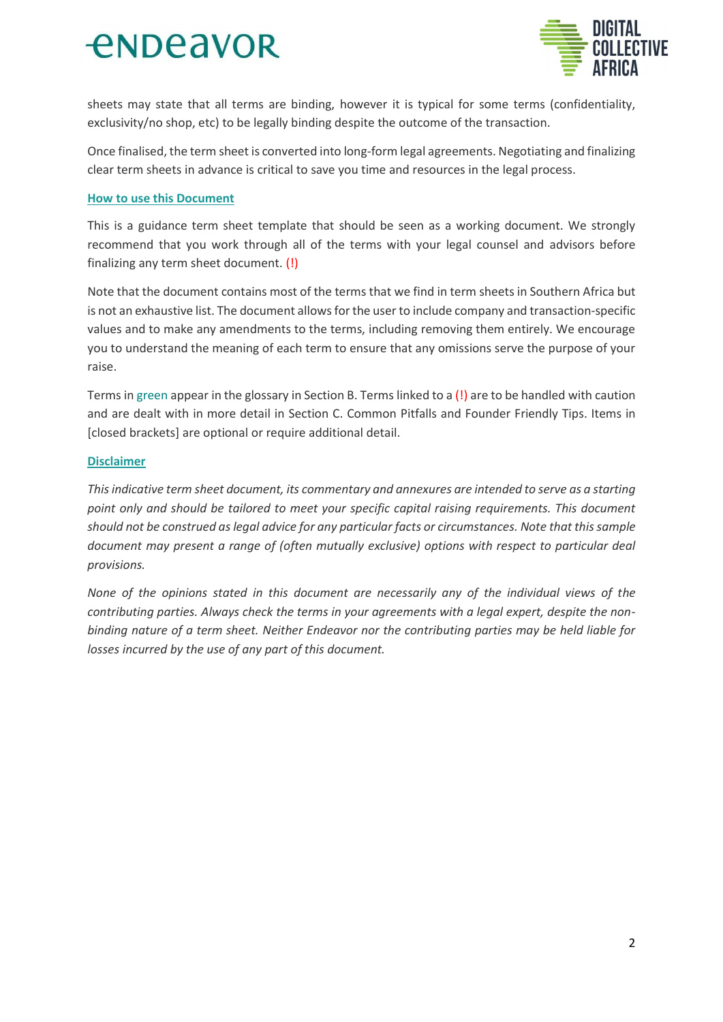

sheets may state that all terms are binding, however it is typical for some terms (confidentiality, exclusivity/no shop, etc) to be legally binding despite the outcome of the transaction.

Once finalised, the term sheet is converted into long-form legal agreements. Negotiating and finalizing clear term sheets in advance is critical to save you time and resources in the legal process.

#### **How to use this Document**

This is a guidance term sheet template that should be seen as a working document. We strongly recommend that you work through all of the terms with your legal counsel and advisors before finalizing any term sheet document. (!)

Note that the document contains most of the terms that we find in term sheets in Southern Africa but is not an exhaustive list. The document allows for the user to include company and transaction-specific values and to make any amendments to the terms, including removing them entirely. We encourage you to understand the meaning of each term to ensure that any omissions serve the purpose of your raise.

Terms in green appear in the glossary in Section B. Terms linked to a (!) are to be handled with caution and are dealt with in more detail in Section C. Common Pitfalls and Founder Friendly Tips. Items in [closed brackets] are optional or require additional detail.

### **Disclaimer**

This indicative term sheet document, its commentary and annexures are intended to serve as a starting point only and should be tailored to meet your specific capital raising requirements. This document should not be construed as legal advice for any particular facts or circumstances. Note that this sample document may present a range of (often mutually exclusive) options with respect to particular deal provisions.

None of the opinions stated in this document are necessarily any of the individual views of the contributing parties. Always check the terms in your agreements with a legal expert, despite the nonbinding nature of a term sheet. Neither Endeavor nor the contributing parties may be held liable for losses incurred by the use of any part of this document.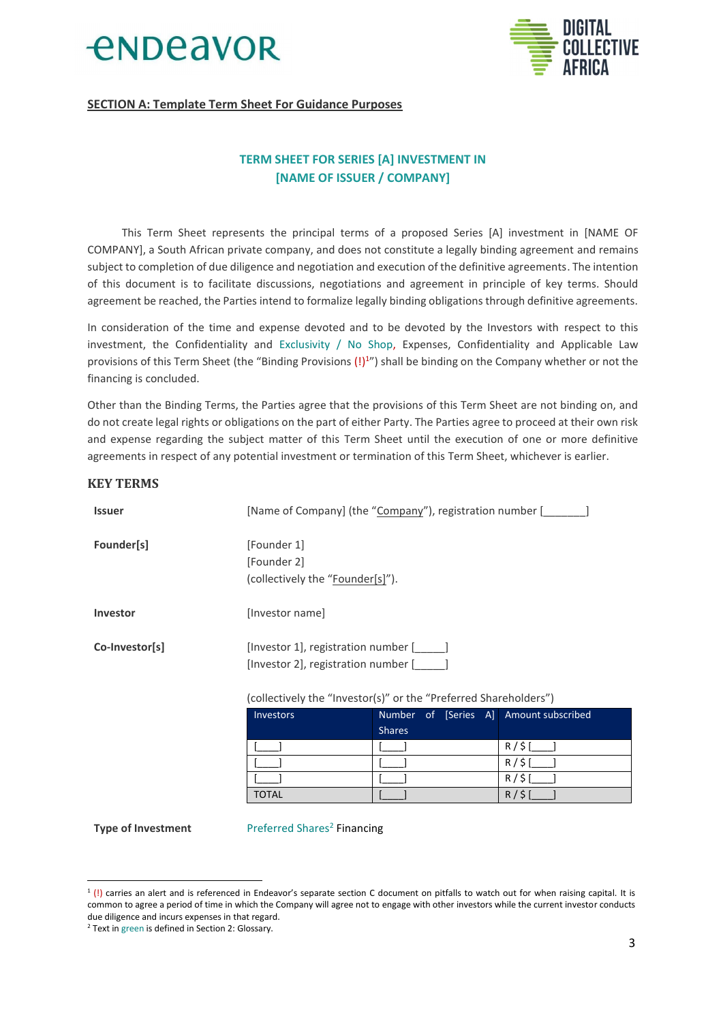



### **SECTION A: Template Term Sheet For Guidance Purposes**

## **TERM SHEET FOR SERIES [A] INVESTMENT IN [NAME OF ISSUER / COMPANY]**

This Term Sheet represents the principal terms of a proposed Series [A] investment in [NAME OF COMPANY], a South African private company, and does not constitute a legally binding agreement and remains subject to completion of due diligence and negotiation and execution of the definitive agreements. The intention of this document is to facilitate discussions, negotiations and agreement in principle of key terms. Should agreement be reached, the Parties intend to formalize legally binding obligations through definitive agreements.

In consideration of the time and expense devoted and to be devoted by the Investors with respect to this investment, the Confidentiality and Exclusivity / No Shop, Expenses, Confidentiality and Applicable Law provisions of this Term Sheet (the "Binding Provisions (!)<sup>1</sup>") shall be binding on the Company whether or not the financing is concluded.

Other than the Binding Terms, the Parties agree that the provisions of this Term Sheet are not binding on, and do not create legal rights or obligations on the part of either Party. The Parties agree to proceed at their own risk and expense regarding the subject matter of this Term Sheet until the execution of one or more definitive agreements in respect of any potential investment or termination of this Term Sheet, whichever is earlier.

#### **KEY TERMS**

| <b>Issuer</b>   | [Name of Company] (the "Company"), registration number [                                                                                       |               |  |                                        |
|-----------------|------------------------------------------------------------------------------------------------------------------------------------------------|---------------|--|----------------------------------------|
| Founder[s]      | [Founder 1]<br>[Founder 2]<br>(collectively the "Founder[s]").                                                                                 |               |  |                                        |
| <b>Investor</b> | [Investor name]                                                                                                                                |               |  |                                        |
| Co-Investor[s]  | [Investor 1], registration number [<br>[Investor 2], registration number [<br>(collectively the "Investor(s)" or the "Preferred Shareholders") |               |  |                                        |
|                 | <b>Investors</b>                                                                                                                               | <b>Shares</b> |  | Number of [Series A] Amount subscribed |
|                 |                                                                                                                                                |               |  | P / C                                  |

|              | <b>Shares</b> |              |
|--------------|---------------|--------------|
|              |               | ć<br>R/      |
|              |               | ċ<br>R       |
|              |               | R            |
| <b>TOTAL</b> |               | $\mathsf{R}$ |

**Type of Investment** 

Preferred Shares<sup>2</sup> Financing

 $\frac{1}{1}$  (!) carries an alert and is referenced in Endeavor's separate section C document on pitfalls to watch out for when raising capital. It is common to agree a period of time in which the Company will agree not to engage with other investors while the current investor conducts due diligence and incurs expenses in that regard.

<sup>&</sup>lt;sup>2</sup> Text in green is defined in Section 2: Glossary.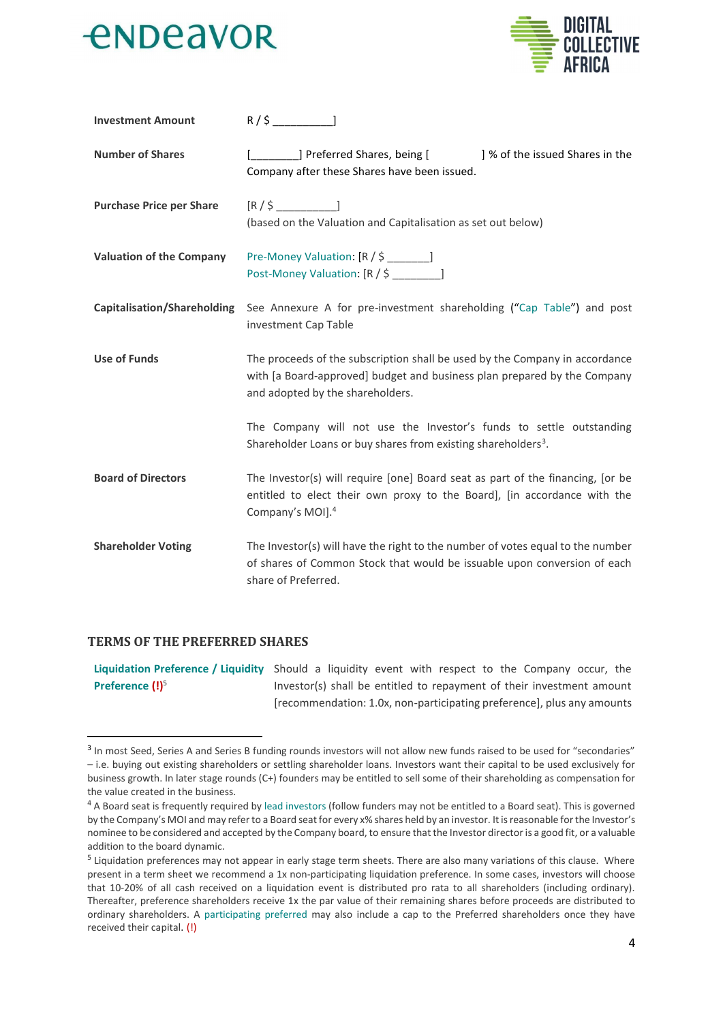



| <b>Investment Amount</b>        |                                                                                                                                                                                             |
|---------------------------------|---------------------------------------------------------------------------------------------------------------------------------------------------------------------------------------------|
| <b>Number of Shares</b>         | ] Preferred Shares, being [<br>] % of the issued Shares in the<br>Company after these Shares have been issued.                                                                              |
| <b>Purchase Price per Share</b> | $[R/\$$ ]<br>(based on the Valuation and Capitalisation as set out below)                                                                                                                   |
| <b>Valuation of the Company</b> | Pre-Money Valuation: [R / \$ _______]<br>Post-Money Valuation: [R / \$ _______]                                                                                                             |
| Capitalisation/Shareholding     | See Annexure A for pre-investment shareholding ("Cap Table") and post<br>investment Cap Table                                                                                               |
| <b>Use of Funds</b>             | The proceeds of the subscription shall be used by the Company in accordance<br>with [a Board-approved] budget and business plan prepared by the Company<br>and adopted by the shareholders. |
|                                 | The Company will not use the Investor's funds to settle outstanding<br>Shareholder Loans or buy shares from existing shareholders <sup>3</sup> .                                            |
| <b>Board of Directors</b>       | The Investor(s) will require [one] Board seat as part of the financing, [or be<br>entitled to elect their own proxy to the Board], [in accordance with the<br>Company's MOI]. <sup>4</sup>  |
| <b>Shareholder Voting</b>       | The Investor(s) will have the right to the number of votes equal to the number<br>of shares of Common Stock that would be issuable upon conversion of each<br>share of Preferred.           |

#### **TERMS OF THE PREFERRED SHARES**

Liquidation Preference / Liquidity Should a liquidity event with respect to the Company occur, the Preference (!)<sup>5</sup> Investor(s) shall be entitled to repayment of their investment amount [recommendation: 1.0x, non-participating preference], plus any amounts

<sup>&</sup>lt;sup>3</sup> In most Seed, Series A and Series B funding rounds investors will not allow new funds raised to be used for "secondaries" - i.e. buying out existing shareholders or settling shareholder loans. Investors want their capital to be used exclusively for business growth. In later stage rounds (C+) founders may be entitled to sell some of their shareholding as compensation for the value created in the business.

<sup>&</sup>lt;sup>4</sup> A Board seat is frequently required by lead investors (follow funders may not be entitled to a Board seat). This is governed by the Company's MOI and may refer to a Board seat for every x% shares held by an investor. It is reasonable for the Investor's nominee to be considered and accepted by the Company board, to ensure that the Investor director is a good fit, or a valuable addition to the board dynamic.

<sup>&</sup>lt;sup>5</sup> Liquidation preferences may not appear in early stage term sheets. There are also many variations of this clause. Where present in a term sheet we recommend a 1x non-participating liquidation preference. In some cases, investors will choose that 10-20% of all cash received on a liquidation event is distributed pro rata to all shareholders (including ordinary). Thereafter, preference shareholders receive 1x the par value of their remaining shares before proceeds are distributed to ordinary shareholders. A participating preferred may also include a cap to the Preferred shareholders once they have received their capital. (!)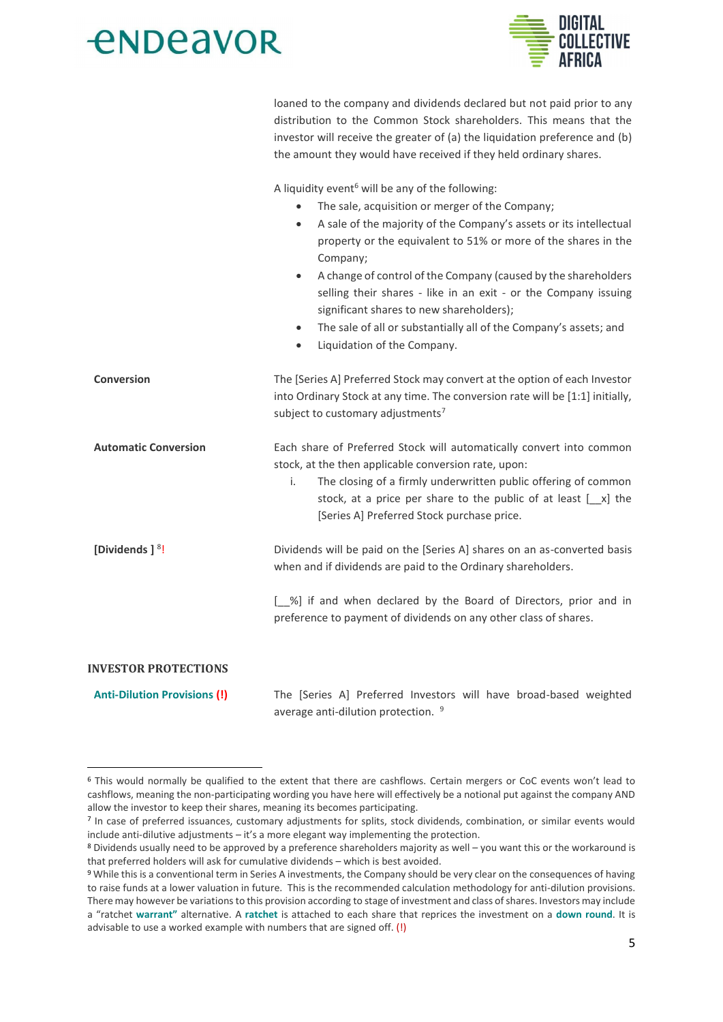

loaned to the company and dividends declared but not paid prior to any distribution to the Common Stock shareholders. This means that the investor will receive the greater of (a) the liquidation preference and (b) the amount they would have received if they held ordinary shares.

A liquidity event<sup>6</sup> will be any of the following:

|                                     | The sale, acquisition or merger of the Company;<br>$\bullet$<br>A sale of the majority of the Company's assets or its intellectual<br>$\bullet$<br>property or the equivalent to 51% or more of the shares in the<br>Company;<br>A change of control of the Company (caused by the shareholders<br>$\bullet$<br>selling their shares - like in an exit - or the Company issuing<br>significant shares to new shareholders);<br>The sale of all or substantially all of the Company's assets; and<br>$\bullet$<br>Liquidation of the Company.<br>$\bullet$ |
|-------------------------------------|-----------------------------------------------------------------------------------------------------------------------------------------------------------------------------------------------------------------------------------------------------------------------------------------------------------------------------------------------------------------------------------------------------------------------------------------------------------------------------------------------------------------------------------------------------------|
| <b>Conversion</b>                   | The [Series A] Preferred Stock may convert at the option of each Investor<br>into Ordinary Stock at any time. The conversion rate will be [1:1] initially,<br>subject to customary adjustments <sup>7</sup>                                                                                                                                                                                                                                                                                                                                               |
| <b>Automatic Conversion</b>         | Each share of Preferred Stock will automatically convert into common<br>stock, at the then applicable conversion rate, upon:<br>The closing of a firmly underwritten public offering of common<br>i.<br>stock, at a price per share to the public of at least $[-x]$ the<br>[Series A] Preferred Stock purchase price.                                                                                                                                                                                                                                    |
| [Dividends ] <sup>8</sup> !         | Dividends will be paid on the [Series A] shares on an as-converted basis<br>when and if dividends are paid to the Ordinary shareholders.                                                                                                                                                                                                                                                                                                                                                                                                                  |
|                                     | [ %] if and when declared by the Board of Directors, prior and in<br>preference to payment of dividends on any other class of shares.                                                                                                                                                                                                                                                                                                                                                                                                                     |
| <b>INVESTOR PROTECTIONS</b>         |                                                                                                                                                                                                                                                                                                                                                                                                                                                                                                                                                           |
| <b>Anti-Dilution Provisions (!)</b> | The [Series A] Preferred Investors will have broad-based weighted                                                                                                                                                                                                                                                                                                                                                                                                                                                                                         |

average anti-dilution protection. 9

<sup>&</sup>lt;sup>6</sup> This would normally be qualified to the extent that there are cashflows. Certain mergers or CoC events won't lead to cashflows, meaning the non-participating wording you have here will effectively be a notional put against the company AND allow the investor to keep their shares, meaning its becomes participating.

<sup>7</sup> In case of preferred issuances, customary adjustments for splits, stock dividends, combination, or similar events would include anti-dilutive adjustments  $-i$ t's a more elegant way implementing the protection.

<sup>&</sup>lt;sup>8</sup> Dividends usually need to be approved by a preference shareholders majority as well – you want this or the workaround is that preferred holders will ask for cumulative dividends - which is best avoided.

<sup>&</sup>lt;sup>9</sup> While this is a conventional term in Series A investments, the Company should be very clear on the consequences of having to raise funds at a lower valuation in future. This is the recommended calculation methodology for anti-dilution provisions. There may however be variations to this provision according to stage of investment and class of shares. Investors may include a "ratchet warrant" alternative. A ratchet is attached to each share that reprices the investment on a down round. It is advisable to use a worked example with numbers that are signed off. (!)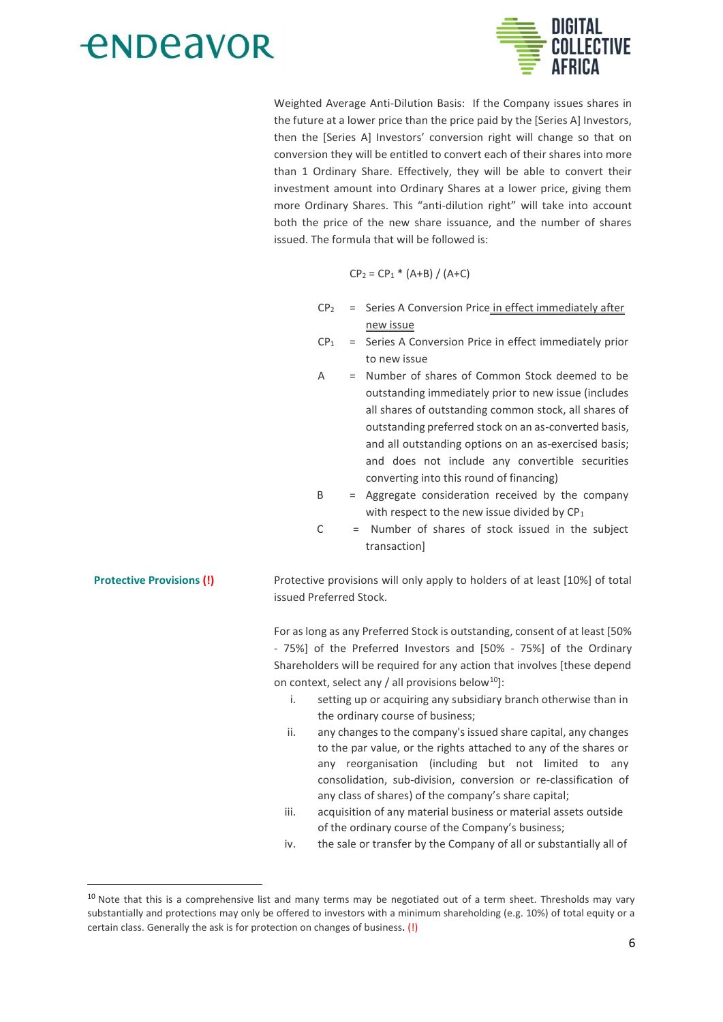



Weighted Average Anti-Dilution Basis: If the Company issues shares in the future at a lower price than the price paid by the [Series A] Investors, then the [Series A] Investors' conversion right will change so that on conversion they will be entitled to convert each of their shares into more than 1 Ordinary Share. Effectively, they will be able to convert their investment amount into Ordinary Shares at a lower price, giving them more Ordinary Shares. This "anti-dilution right" will take into account both the price of the new share issuance, and the number of shares issued. The formula that will be followed is:

$$
CP_2 = CP_1 * (A+B) / (A+C)
$$

- $CP<sub>2</sub>$  = Series A Conversion Price in effect immediately after new issue
- $CP<sub>1</sub>$ = Series A Conversion Price in effect immediately prior to new issue
- A = Number of shares of Common Stock deemed to be outstanding immediately prior to new issue (includes all shares of outstanding common stock, all shares of outstanding preferred stock on an as-converted basis, and all outstanding options on an as-exercised basis; and does not include any convertible securities converting into this round of financing)
- <sub>B</sub> = Aggregate consideration received by the company with respect to the new issue divided by  $CP<sub>1</sub>$
- $\mathcal{C}$ = Number of shares of stock issued in the subject transaction]

**Protective Provisions (!)** Protective provisions will only apply to holders of at least [10%] of total issued Preferred Stock

> For as long as any Preferred Stock is outstanding, consent of at least [50% - 75%] of the Preferred Investors and [50% - 75%] of the Ordinary Shareholders will be required for any action that involves [these depend on context, select any / all provisions below<sup>10</sup>]:

- setting up or acquiring any subsidiary branch otherwise than in  $\mathbf{i}$ the ordinary course of business;
- any changes to the company's issued share capital, any changes ii. to the par value, or the rights attached to any of the shares or any reorganisation (including but not limited to any consolidation, sub-division, conversion or re-classification of any class of shares) of the company's share capital;
- iii. acquisition of any material business or material assets outside of the ordinary course of the Company's business;
- iv. the sale or transfer by the Company of all or substantially all of

<sup>&</sup>lt;sup>10</sup> Note that this is a comprehensive list and many terms may be negotiated out of a term sheet. Thresholds may vary substantially and protections may only be offered to investors with a minimum shareholding (e.g. 10%) of total equity or a certain class. Generally the ask is for protection on changes of business. (!)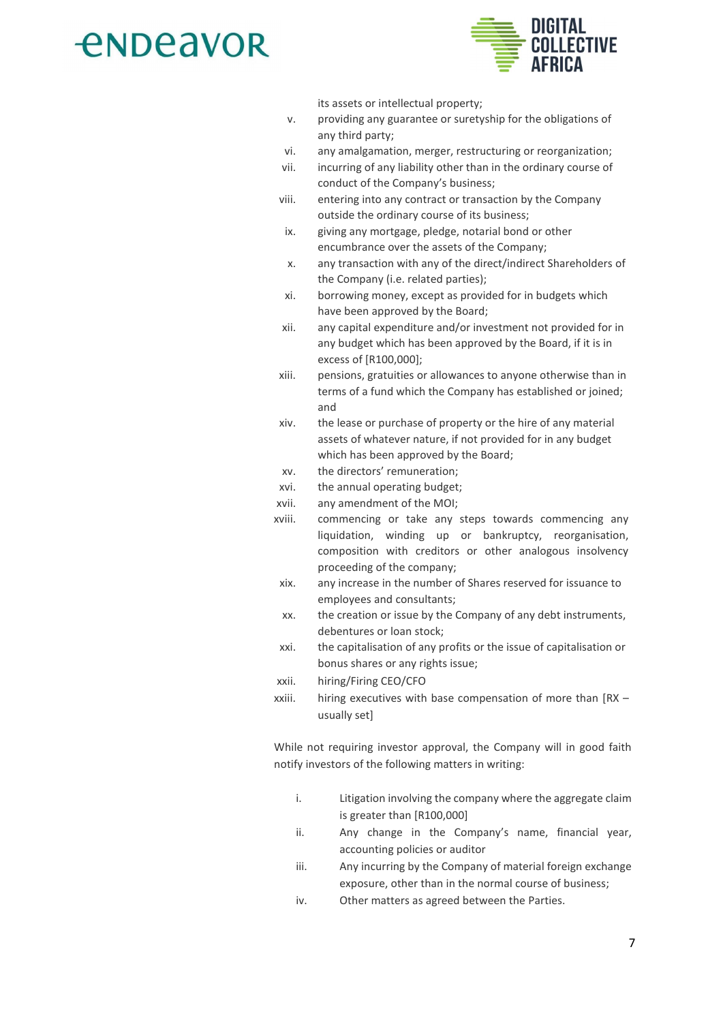

its assets or intellectual property;

- providing any guarantee or suretyship for the obligations of  $\mathbf{v}$ any third party;
- any amalgamation, merger, restructuring or reorganization; vi.
- vii. incurring of any liability other than in the ordinary course of conduct of the Company's business;
- viii. entering into any contract or transaction by the Company outside the ordinary course of its business;
- ix. giving any mortgage, pledge, notarial bond or other encumbrance over the assets of the Company;
- any transaction with any of the direct/indirect Shareholders of X. the Company (i.e. related parties);
- xi. borrowing money, except as provided for in budgets which have been approved by the Board;
- xii. any capital expenditure and/or investment not provided for in any budget which has been approved by the Board, if it is in excess of [R100,000];
- pensions, gratuities or allowances to anyone otherwise than in xiii. terms of a fund which the Company has established or joined; and
- xiv. the lease or purchase of property or the hire of any material assets of whatever nature, if not provided for in any budget which has been approved by the Board;
- the directors' remuneration; **XV**
- xvi. the annual operating budget;
- xvii. any amendment of the MOI;
- commencing or take any steps towards commencing any xviii. liquidation, winding up or bankruptcy, reorganisation, composition with creditors or other analogous insolvency proceeding of the company;
- xix. any increase in the number of Shares reserved for issuance to employees and consultants;
- the creation or issue by the Company of any debt instruments, XX. debentures or loan stock;
- the capitalisation of any profits or the issue of capitalisation or xxi bonus shares or any rights issue;
- xxii. hiring/Firing CEO/CFO
- hiring executives with base compensation of more than [RX xxiii. usually set]

While not requiring investor approval, the Company will in good faith notify investors of the following matters in writing:

- i. Litigation involving the company where the aggregate claim is greater than [R100,000]
- ii. Any change in the Company's name, financial year, accounting policies or auditor
- iii. Any incurring by the Company of material foreign exchange exposure, other than in the normal course of business;
- Other matters as agreed between the Parties. iv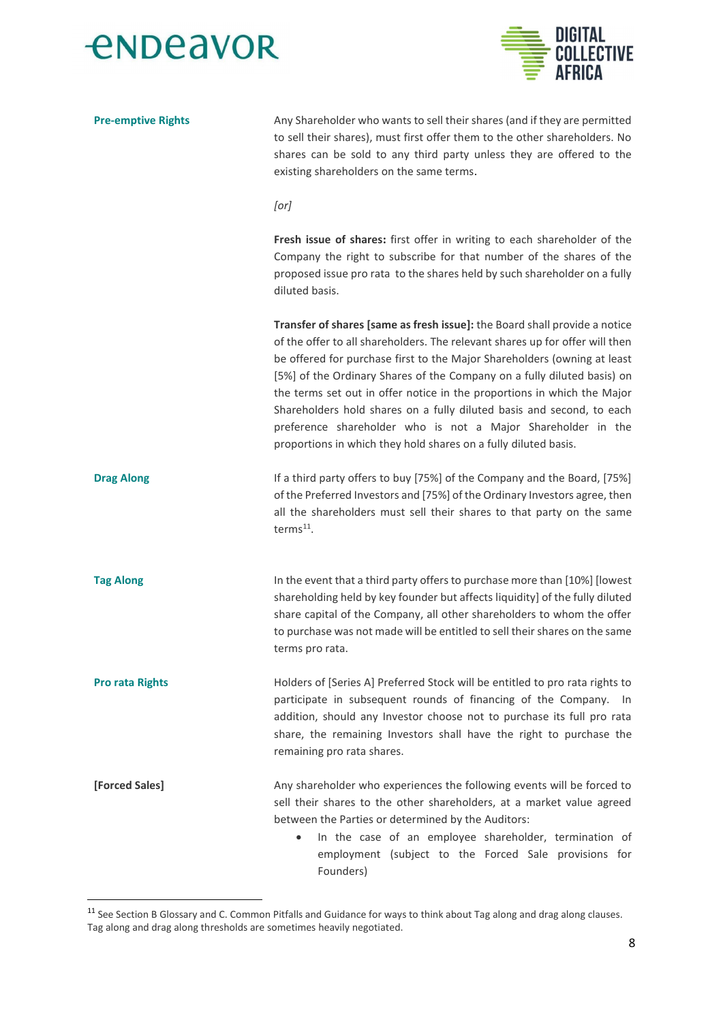



| <b>Pre-emptive Rights</b> | Any Shareholder who wants to sell their shares (and if they are permitted<br>to sell their shares), must first offer them to the other shareholders. No<br>shares can be sold to any third party unless they are offered to the<br>existing shareholders on the same terms.                                                                                                                                                                                                                                                                                                                              |
|---------------------------|----------------------------------------------------------------------------------------------------------------------------------------------------------------------------------------------------------------------------------------------------------------------------------------------------------------------------------------------------------------------------------------------------------------------------------------------------------------------------------------------------------------------------------------------------------------------------------------------------------|
|                           | [or]                                                                                                                                                                                                                                                                                                                                                                                                                                                                                                                                                                                                     |
|                           | Fresh issue of shares: first offer in writing to each shareholder of the<br>Company the right to subscribe for that number of the shares of the<br>proposed issue pro rata to the shares held by such shareholder on a fully<br>diluted basis.                                                                                                                                                                                                                                                                                                                                                           |
|                           | Transfer of shares [same as fresh issue]: the Board shall provide a notice<br>of the offer to all shareholders. The relevant shares up for offer will then<br>be offered for purchase first to the Major Shareholders (owning at least<br>[5%] of the Ordinary Shares of the Company on a fully diluted basis) on<br>the terms set out in offer notice in the proportions in which the Major<br>Shareholders hold shares on a fully diluted basis and second, to each<br>preference shareholder who is not a Major Shareholder in the<br>proportions in which they hold shares on a fully diluted basis. |
| <b>Drag Along</b>         | If a third party offers to buy [75%] of the Company and the Board, [75%]<br>of the Preferred Investors and [75%] of the Ordinary Investors agree, then<br>all the shareholders must sell their shares to that party on the same<br>terms <sup>11</sup> .                                                                                                                                                                                                                                                                                                                                                 |
| <b>Tag Along</b>          | In the event that a third party offers to purchase more than [10%] [lowest<br>shareholding held by key founder but affects liquidity] of the fully diluted<br>share capital of the Company, all other shareholders to whom the offer<br>to purchase was not made will be entitled to sell their shares on the same<br>terms pro rata.                                                                                                                                                                                                                                                                    |
| <b>Pro rata Rights</b>    | Holders of [Series A] Preferred Stock will be entitled to pro rata rights to<br>participate in subsequent rounds of financing of the Company. In<br>addition, should any Investor choose not to purchase its full pro rata<br>share, the remaining Investors shall have the right to purchase the<br>remaining pro rata shares.                                                                                                                                                                                                                                                                          |
| [Forced Sales]            | Any shareholder who experiences the following events will be forced to<br>sell their shares to the other shareholders, at a market value agreed<br>between the Parties or determined by the Auditors:<br>In the case of an employee shareholder, termination of<br>$\bullet$<br>employment (subject to the Forced Sale provisions for<br>Founders)                                                                                                                                                                                                                                                       |

 $11$  See Section B Glossary and C. Common Pitfalls and Guidance for ways to think about Tag along and drag along clauses.<br>Tag along and drag along thresholds are sometimes heavily negotiated.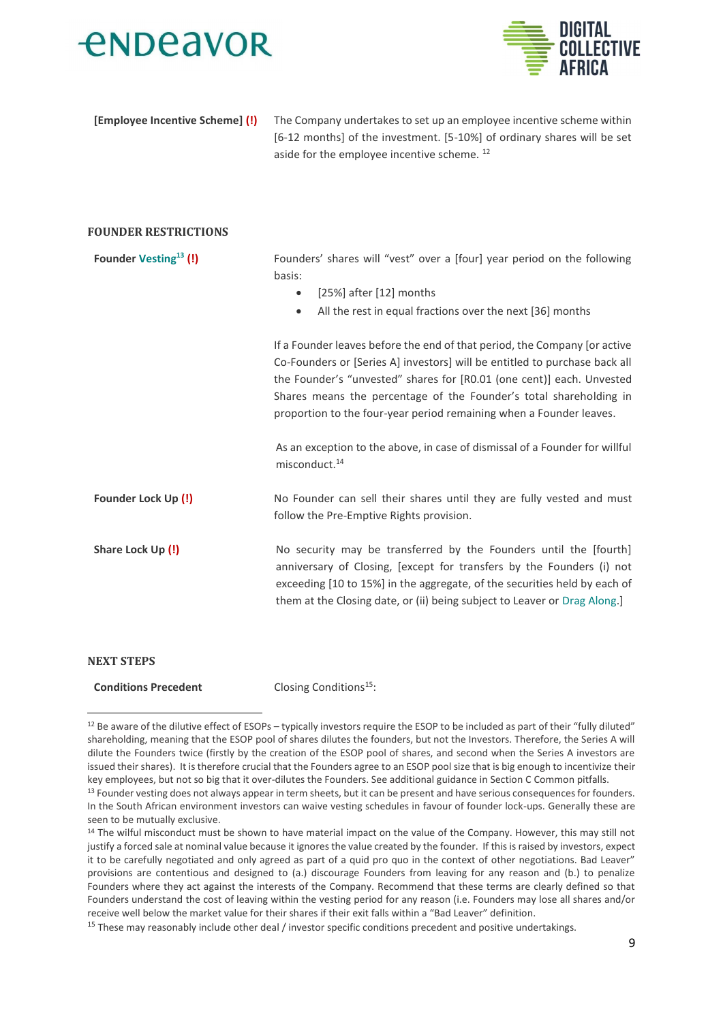



[Employee Incentive Scheme] (!)

The Company undertakes to set up an employee incentive scheme within [6-12 months] of the investment. [5-10%] of ordinary shares will be set aside for the employee incentive scheme.<sup>12</sup>

#### **FOUNDER RESTRICTIONS**

| <b>Founder Vesting<sup>13</sup> (!)</b> | Founders' shares will "vest" over a [four] year period on the following<br>basis:<br>[25%] after [12] months<br>$\bullet$<br>All the rest in equal fractions over the next [36] months<br>$\bullet$                                                                                                                                                                            |
|-----------------------------------------|--------------------------------------------------------------------------------------------------------------------------------------------------------------------------------------------------------------------------------------------------------------------------------------------------------------------------------------------------------------------------------|
|                                         | If a Founder leaves before the end of that period, the Company [or active]<br>Co-Founders or [Series A] investors] will be entitled to purchase back all<br>the Founder's "unvested" shares for [R0.01 (one cent)] each. Unvested<br>Shares means the percentage of the Founder's total shareholding in<br>proportion to the four-year period remaining when a Founder leaves. |
|                                         | As an exception to the above, in case of dismissal of a Founder for willful<br>misconduct. <sup>14</sup>                                                                                                                                                                                                                                                                       |
| Founder Lock Up (!)                     | No Founder can sell their shares until they are fully vested and must<br>follow the Pre-Emptive Rights provision.                                                                                                                                                                                                                                                              |
| Share Lock Up (!)                       | No security may be transferred by the Founders until the [fourth]<br>anniversary of Closing, [except for transfers by the Founders (i) not<br>exceeding [10 to 15%] in the aggregate, of the securities held by each of<br>them at the Closing date, or (ii) being subject to Leaver or Drag Along.]                                                                           |
| <b>NEXT STEPS</b>                       |                                                                                                                                                                                                                                                                                                                                                                                |
| <b>Conditions Precedent</b>             | Closing Conditions <sup>15</sup> :                                                                                                                                                                                                                                                                                                                                             |

<sup>&</sup>lt;sup>12</sup> Be aware of the dilutive effect of ESOPs - typically investors require the ESOP to be included as part of their "fully diluted" shareholding, meaning that the ESOP pool of shares dilutes the founders, but not the Investors. Therefore, the Series A will dilute the Founders twice (firstly by the creation of the ESOP pool of shares, and second when the Series A investors are issued their shares). It is therefore crucial that the Founders agree to an ESOP pool size that is big enough to incentivize their key employees, but not so big that it over-dilutes the Founders. See additional guidance in Section C Common pitfalls.

<sup>&</sup>lt;sup>13</sup> Founder vesting does not always appear in term sheets, but it can be present and have serious consequences for founders. In the South African environment investors can waive vesting schedules in favour of founder lock-ups. Generally these are seen to be mutually exclusive.

<sup>&</sup>lt;sup>14</sup> The wilful misconduct must be shown to have material impact on the value of the Company. However, this may still not justify a forced sale at nominal value because it ignores the value created by the founder. If this is raised by investors, expect it to be carefully negotiated and only agreed as part of a quid pro quo in the context of other negotiations. Bad Leaver" provisions are contentious and designed to (a.) discourage Founders from leaving for any reason and (b.) to penalize Founders where they act against the interests of the Company. Recommend that these terms are clearly defined so that Founders understand the cost of leaving within the vesting period for any reason (i.e. Founders may lose all shares and/or receive well below the market value for their shares if their exit falls within a "Bad Leaver" definition.

<sup>&</sup>lt;sup>15</sup> These may reasonably include other deal / investor specific conditions precedent and positive undertakings.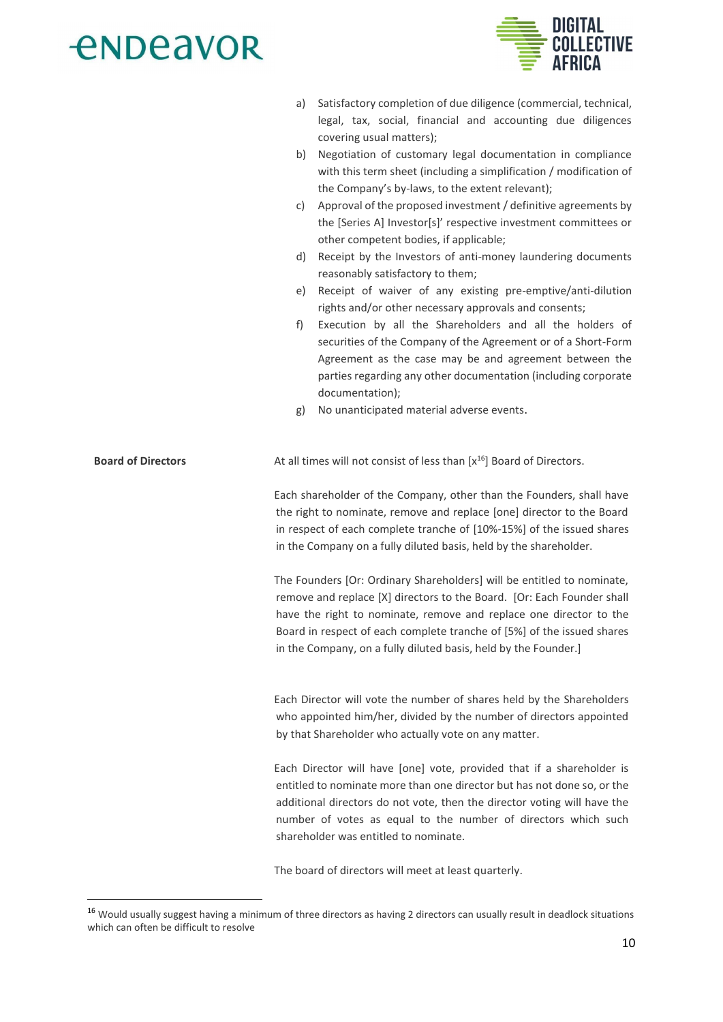

- a) Satisfactory completion of due diligence (commercial, technical, legal, tax, social, financial and accounting due diligences covering usual matters);
- b) Negotiation of customary legal documentation in compliance with this term sheet (including a simplification / modification of the Company's by-laws, to the extent relevant);
- c) Approval of the proposed investment / definitive agreements by the [Series A] Investor[s]' respective investment committees or other competent bodies, if applicable;
- d) Receipt by the Investors of anti-money laundering documents reasonably satisfactory to them:
- e) Receipt of waiver of any existing pre-emptive/anti-dilution rights and/or other necessary approvals and consents;
- f) Execution by all the Shareholders and all the holders of securities of the Company of the Agreement or of a Short-Form Agreement as the case may be and agreement between the parties regarding any other documentation (including corporate documentation);
- g) No unanticipated material adverse events.

#### **Board of Directors** At all times will not consist of less than [x<sup>16</sup>] Board of Directors.

Each shareholder of the Company, other than the Founders, shall have the right to nominate, remove and replace [one] director to the Board in respect of each complete tranche of [10%-15%] of the issued shares in the Company on a fully diluted basis, held by the shareholder.

The Founders [Or: Ordinary Shareholders] will be entitled to nominate, remove and replace [X] directors to the Board. [Or: Each Founder shall have the right to nominate, remove and replace one director to the Board in respect of each complete tranche of [5%] of the issued shares in the Company, on a fully diluted basis, held by the Founder.]

Each Director will vote the number of shares held by the Shareholders who appointed him/her, divided by the number of directors appointed by that Shareholder who actually vote on any matter.

Each Director will have [one] vote, provided that if a shareholder is entitled to nominate more than one director but has not done so, or the additional directors do not vote, then the director voting will have the number of votes as equal to the number of directors which such shareholder was entitled to nominate.

The board of directors will meet at least quarterly.

<sup>&</sup>lt;sup>16</sup> Would usually suggest having a minimum of three directors as having 2 directors can usually result in deadlock situations which can often be difficult to resolve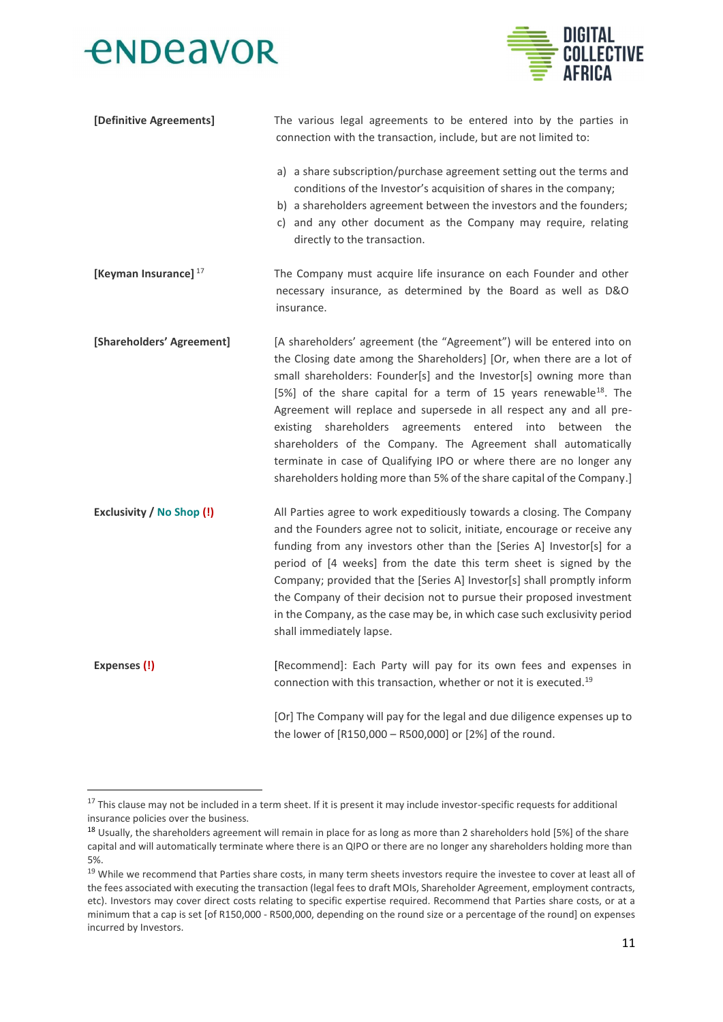

| [Definitive Agreements]          | The various legal agreements to be entered into by the parties in<br>connection with the transaction, include, but are not limited to:                                                                                                                                                                                                                                                                                                                                                                                                                                                                                                                           |  |  |
|----------------------------------|------------------------------------------------------------------------------------------------------------------------------------------------------------------------------------------------------------------------------------------------------------------------------------------------------------------------------------------------------------------------------------------------------------------------------------------------------------------------------------------------------------------------------------------------------------------------------------------------------------------------------------------------------------------|--|--|
|                                  | a) a share subscription/purchase agreement setting out the terms and<br>conditions of the Investor's acquisition of shares in the company;<br>b) a shareholders agreement between the investors and the founders;<br>c) and any other document as the Company may require, relating<br>directly to the transaction.                                                                                                                                                                                                                                                                                                                                              |  |  |
| [Keyman Insurance] $17$          | The Company must acquire life insurance on each Founder and other<br>necessary insurance, as determined by the Board as well as D&O<br>insurance.                                                                                                                                                                                                                                                                                                                                                                                                                                                                                                                |  |  |
| [Shareholders' Agreement]        | [A shareholders' agreement (the "Agreement") will be entered into on<br>the Closing date among the Shareholders] [Or, when there are a lot of<br>small shareholders: Founder[s] and the Investor[s] owning more than<br>[5%] of the share capital for a term of 15 years renewable <sup>18</sup> . The<br>Agreement will replace and supersede in all respect any and all pre-<br>existing shareholders agreements entered into between the<br>shareholders of the Company. The Agreement shall automatically<br>terminate in case of Qualifying IPO or where there are no longer any<br>shareholders holding more than 5% of the share capital of the Company.] |  |  |
| <b>Exclusivity / No Shop (!)</b> | All Parties agree to work expeditiously towards a closing. The Company<br>and the Founders agree not to solicit, initiate, encourage or receive any<br>funding from any investors other than the [Series A] Investor[s] for a<br>period of [4 weeks] from the date this term sheet is signed by the<br>Company; provided that the [Series A] Investor[s] shall promptly inform<br>the Company of their decision not to pursue their proposed investment<br>in the Company, as the case may be, in which case such exclusivity period<br>shall immediately lapse.                                                                                                 |  |  |
| Expenses (!)                     | [Recommend]: Each Party will pay for its own fees and expenses in<br>connection with this transaction, whether or not it is executed. <sup>19</sup>                                                                                                                                                                                                                                                                                                                                                                                                                                                                                                              |  |  |
|                                  | [Or] The Company will pay for the legal and due diligence expenses up to<br>the lower of [R150,000 - R500,000] or [2%] of the round.                                                                                                                                                                                                                                                                                                                                                                                                                                                                                                                             |  |  |

<sup>&</sup>lt;sup>17</sup> This clause may not be included in a term sheet. If it is present it may include investor-specific requests for additional insurance policies over the business.

<sup>&</sup>lt;sup>18</sup> Usually, the shareholders agreement will remain in place for as long as more than 2 shareholders hold [5%] of the share capital and will automatically terminate where there is an QIPO or there are no longer any shareholders holding more than 5%.

<sup>&</sup>lt;sup>19</sup> While we recommend that Parties share costs, in many term sheets investors require the investee to cover at least all of the fees associated with executing the transaction (legal fees to draft MOIs, Shareholder Agreement, employment contracts, etc). Investors may cover direct costs relating to specific expertise required. Recommend that Parties share costs, or at a minimum that a cap is set [of R150,000 - R500,000, depending on the round size or a percentage of the round] on expenses incurred by Investors.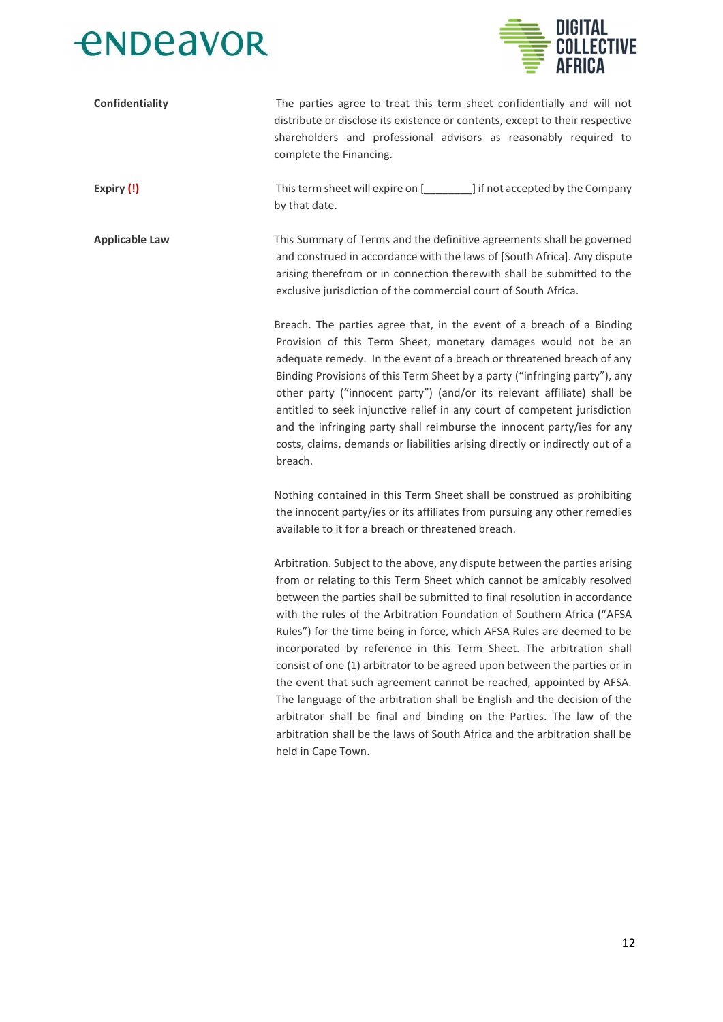



| Confidentiality       | The parties agree to treat this term sheet confidentially and will not<br>distribute or disclose its existence or contents, except to their respective<br>shareholders and professional advisors as reasonably required to<br>complete the Financing.                                                                                                                                                                                                                                                                                                                                                                                                                                                                                                                                                                                                                  |
|-----------------------|------------------------------------------------------------------------------------------------------------------------------------------------------------------------------------------------------------------------------------------------------------------------------------------------------------------------------------------------------------------------------------------------------------------------------------------------------------------------------------------------------------------------------------------------------------------------------------------------------------------------------------------------------------------------------------------------------------------------------------------------------------------------------------------------------------------------------------------------------------------------|
| Expiry (!)            | This term sheet will expire on [1,100 mm] if not accepted by the Company<br>by that date.                                                                                                                                                                                                                                                                                                                                                                                                                                                                                                                                                                                                                                                                                                                                                                              |
| <b>Applicable Law</b> | This Summary of Terms and the definitive agreements shall be governed<br>and construed in accordance with the laws of [South Africa]. Any dispute<br>arising therefrom or in connection therewith shall be submitted to the<br>exclusive jurisdiction of the commercial court of South Africa.                                                                                                                                                                                                                                                                                                                                                                                                                                                                                                                                                                         |
|                       | Breach. The parties agree that, in the event of a breach of a Binding<br>Provision of this Term Sheet, monetary damages would not be an<br>adequate remedy. In the event of a breach or threatened breach of any<br>Binding Provisions of this Term Sheet by a party ("infringing party"), any<br>other party ("innocent party") (and/or its relevant affiliate) shall be<br>entitled to seek injunctive relief in any court of competent jurisdiction<br>and the infringing party shall reimburse the innocent party/ies for any<br>costs, claims, demands or liabilities arising directly or indirectly out of a<br>breach.                                                                                                                                                                                                                                          |
|                       | Nothing contained in this Term Sheet shall be construed as prohibiting<br>the innocent party/ies or its affiliates from pursuing any other remedies<br>available to it for a breach or threatened breach.                                                                                                                                                                                                                                                                                                                                                                                                                                                                                                                                                                                                                                                              |
|                       | Arbitration. Subject to the above, any dispute between the parties arising<br>from or relating to this Term Sheet which cannot be amicably resolved<br>between the parties shall be submitted to final resolution in accordance<br>with the rules of the Arbitration Foundation of Southern Africa ("AFSA<br>Rules") for the time being in force, which AFSA Rules are deemed to be<br>incorporated by reference in this Term Sheet. The arbitration shall<br>consist of one (1) arbitrator to be agreed upon between the parties or in<br>the event that such agreement cannot be reached, appointed by AFSA.<br>The language of the arbitration shall be English and the decision of the<br>arbitrator shall be final and binding on the Parties. The law of the<br>arbitration shall be the laws of South Africa and the arbitration shall be<br>held in Cape Town. |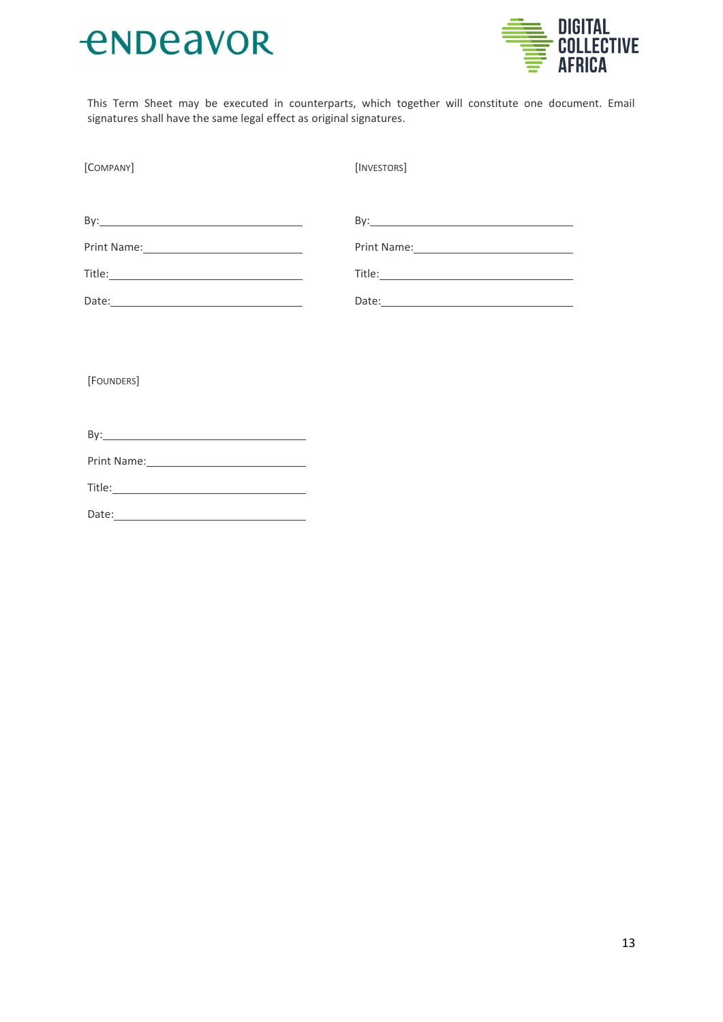



This Term Sheet may be executed in counterparts, which together will constitute one document. Email signatures shall have the same legal effect as original signatures.

| [COMPANY] | [INVESTORS]                                                                                                    |
|-----------|----------------------------------------------------------------------------------------------------------------|
|           |                                                                                                                |
|           |                                                                                                                |
|           | Print Name: 1988 and 1989 and 1989 and 1989 and 1989 and 1989 and 1989 and 1989 and 1989 and 1989 and 1989 and |
|           |                                                                                                                |
|           |                                                                                                                |

[FOUNDERS]

| Title: the contract of the contract of the contract of the contract of the contract of the contract of the contract of the contract of the contract of the contract of the contract of the contract of the contract of the con |  |
|--------------------------------------------------------------------------------------------------------------------------------------------------------------------------------------------------------------------------------|--|
| Date:                                                                                                                                                                                                                          |  |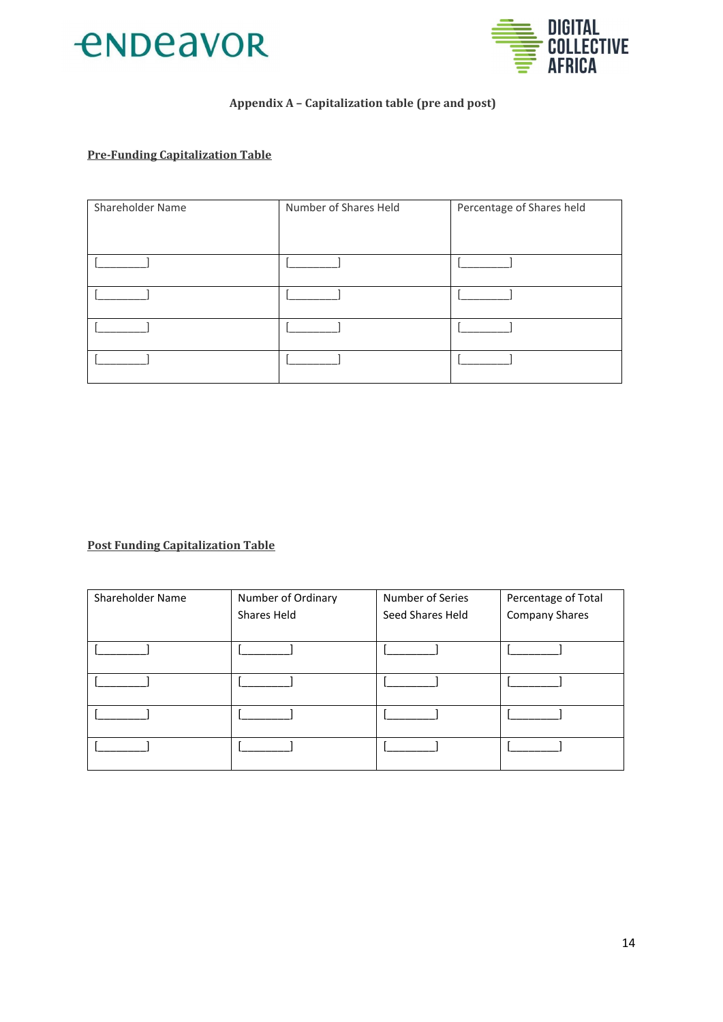



### Appendix A - Capitalization table (pre and post)

### **Pre-Funding Capitalization Table**

| Shareholder Name | Number of Shares Held | Percentage of Shares held |
|------------------|-----------------------|---------------------------|
|                  |                       |                           |
|                  |                       |                           |
|                  |                       |                           |
|                  |                       |                           |
|                  |                       |                           |
|                  |                       |                           |

**Post Funding Capitalization Table** 

| Shareholder Name | Number of Ordinary | Number of Series | Percentage of Total   |
|------------------|--------------------|------------------|-----------------------|
|                  | Shares Held        | Seed Shares Held | <b>Company Shares</b> |
|                  |                    |                  |                       |
|                  |                    |                  |                       |
|                  |                    |                  |                       |
|                  |                    |                  |                       |
|                  |                    |                  |                       |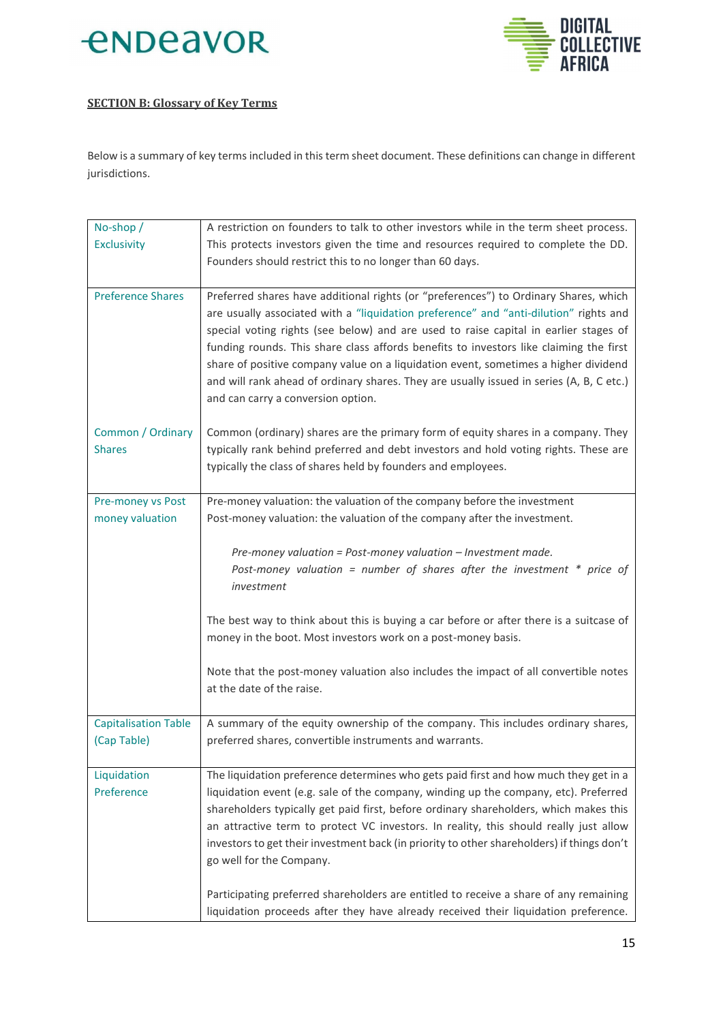



### **SECTION B: Glossary of Key Terms**

Below is a summary of key terms included in this term sheet document. These definitions can change in different jurisdictions.

| No-shop /                   | A restriction on founders to talk to other investors while in the term sheet process.      |
|-----------------------------|--------------------------------------------------------------------------------------------|
| <b>Exclusivity</b>          | This protects investors given the time and resources required to complete the DD.          |
|                             | Founders should restrict this to no longer than 60 days.                                   |
|                             |                                                                                            |
| <b>Preference Shares</b>    | Preferred shares have additional rights (or "preferences") to Ordinary Shares, which       |
|                             | are usually associated with a "liquidation preference" and "anti-dilution" rights and      |
|                             | special voting rights (see below) and are used to raise capital in earlier stages of       |
|                             | funding rounds. This share class affords benefits to investors like claiming the first     |
|                             | share of positive company value on a liquidation event, sometimes a higher dividend        |
|                             | and will rank ahead of ordinary shares. They are usually issued in series (A, B, C etc.)   |
|                             | and can carry a conversion option.                                                         |
|                             |                                                                                            |
| Common / Ordinary           | Common (ordinary) shares are the primary form of equity shares in a company. They          |
| <b>Shares</b>               | typically rank behind preferred and debt investors and hold voting rights. These are       |
|                             | typically the class of shares held by founders and employees.                              |
| Pre-money vs Post           | Pre-money valuation: the valuation of the company before the investment                    |
| money valuation             | Post-money valuation: the valuation of the company after the investment.                   |
|                             |                                                                                            |
|                             | Pre-money valuation = Post-money valuation - Investment made.                              |
|                             | Post-money valuation = number of shares after the investment $*$ price of                  |
|                             | investment                                                                                 |
|                             |                                                                                            |
|                             | The best way to think about this is buying a car before or after there is a suitcase of    |
|                             | money in the boot. Most investors work on a post-money basis.                              |
|                             | Note that the post-money valuation also includes the impact of all convertible notes       |
|                             | at the date of the raise.                                                                  |
|                             |                                                                                            |
| <b>Capitalisation Table</b> | A summary of the equity ownership of the company. This includes ordinary shares,           |
| (Cap Table)                 | preferred shares, convertible instruments and warrants.                                    |
|                             |                                                                                            |
| Liquidation                 | The liquidation preference determines who gets paid first and how much they get in a       |
| Preference                  | liquidation event (e.g. sale of the company, winding up the company, etc). Preferred       |
|                             | shareholders typically get paid first, before ordinary shareholders, which makes this      |
|                             | an attractive term to protect VC investors. In reality, this should really just allow      |
|                             | investors to get their investment back (in priority to other shareholders) if things don't |
|                             | go well for the Company.                                                                   |
|                             | Participating preferred shareholders are entitled to receive a share of any remaining      |
|                             | liquidation proceeds after they have already received their liquidation preference.        |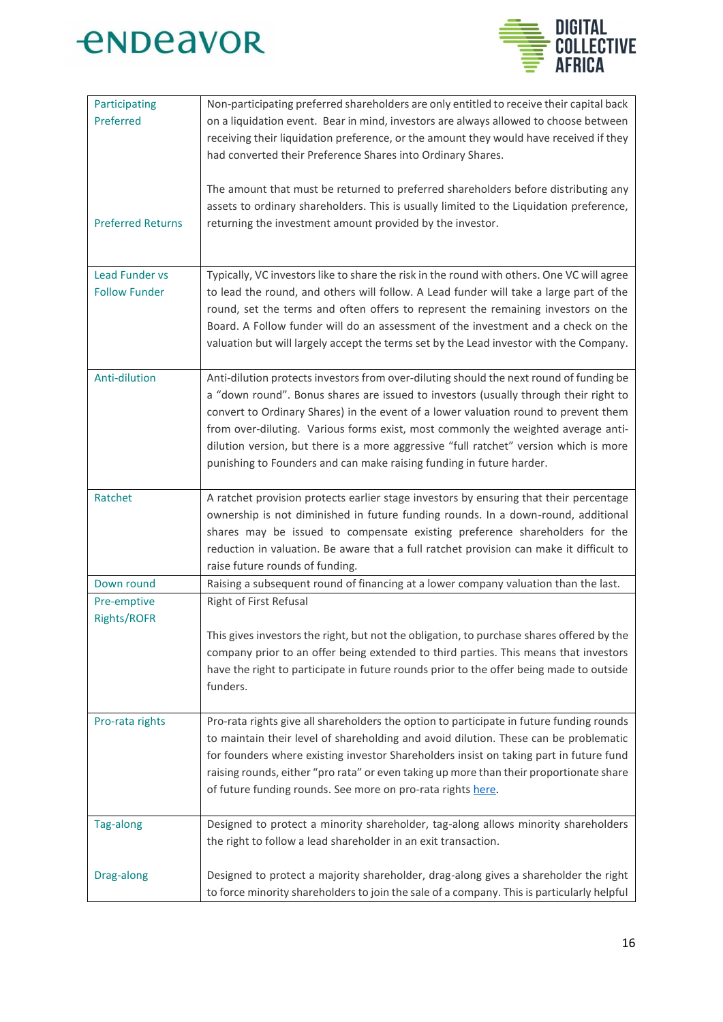



| Participating<br>Preferred                    | Non-participating preferred shareholders are only entitled to receive their capital back<br>on a liquidation event. Bear in mind, investors are always allowed to choose between<br>receiving their liquidation preference, or the amount they would have received if they<br>had converted their Preference Shares into Ordinary Shares.                                                                                                                                                                                    |
|-----------------------------------------------|------------------------------------------------------------------------------------------------------------------------------------------------------------------------------------------------------------------------------------------------------------------------------------------------------------------------------------------------------------------------------------------------------------------------------------------------------------------------------------------------------------------------------|
| <b>Preferred Returns</b>                      | The amount that must be returned to preferred shareholders before distributing any<br>assets to ordinary shareholders. This is usually limited to the Liquidation preference,<br>returning the investment amount provided by the investor.                                                                                                                                                                                                                                                                                   |
| <b>Lead Funder vs</b><br><b>Follow Funder</b> | Typically, VC investors like to share the risk in the round with others. One VC will agree<br>to lead the round, and others will follow. A Lead funder will take a large part of the<br>round, set the terms and often offers to represent the remaining investors on the<br>Board. A Follow funder will do an assessment of the investment and a check on the<br>valuation but will largely accept the terms set by the Lead investor with the Company.                                                                     |
| Anti-dilution                                 | Anti-dilution protects investors from over-diluting should the next round of funding be<br>a "down round". Bonus shares are issued to investors (usually through their right to<br>convert to Ordinary Shares) in the event of a lower valuation round to prevent them<br>from over-diluting. Various forms exist, most commonly the weighted average anti-<br>dilution version, but there is a more aggressive "full ratchet" version which is more<br>punishing to Founders and can make raising funding in future harder. |
| Ratchet                                       | A ratchet provision protects earlier stage investors by ensuring that their percentage<br>ownership is not diminished in future funding rounds. In a down-round, additional<br>shares may be issued to compensate existing preference shareholders for the<br>reduction in valuation. Be aware that a full ratchet provision can make it difficult to<br>raise future rounds of funding.                                                                                                                                     |
| Down round                                    | Raising a subsequent round of financing at a lower company valuation than the last.                                                                                                                                                                                                                                                                                                                                                                                                                                          |
| Pre-emptive<br><b>Rights/ROFR</b>             | Right of First Refusal<br>This gives investors the right, but not the obligation, to purchase shares offered by the<br>company prior to an offer being extended to third parties. This means that investors<br>have the right to participate in future rounds prior to the offer being made to outside<br>funders.                                                                                                                                                                                                           |
| Pro-rata rights                               | Pro-rata rights give all shareholders the option to participate in future funding rounds<br>to maintain their level of shareholding and avoid dilution. These can be problematic<br>for founders where existing investor Shareholders insist on taking part in future fund<br>raising rounds, either "pro rata" or even taking up more than their proportionate share<br>of future funding rounds. See more on pro-rata rights here.                                                                                         |
| Tag-along                                     | Designed to protect a minority shareholder, tag-along allows minority shareholders<br>the right to follow a lead shareholder in an exit transaction.                                                                                                                                                                                                                                                                                                                                                                         |
| Drag-along                                    | Designed to protect a majority shareholder, drag-along gives a shareholder the right<br>to force minority shareholders to join the sale of a company. This is particularly helpful                                                                                                                                                                                                                                                                                                                                           |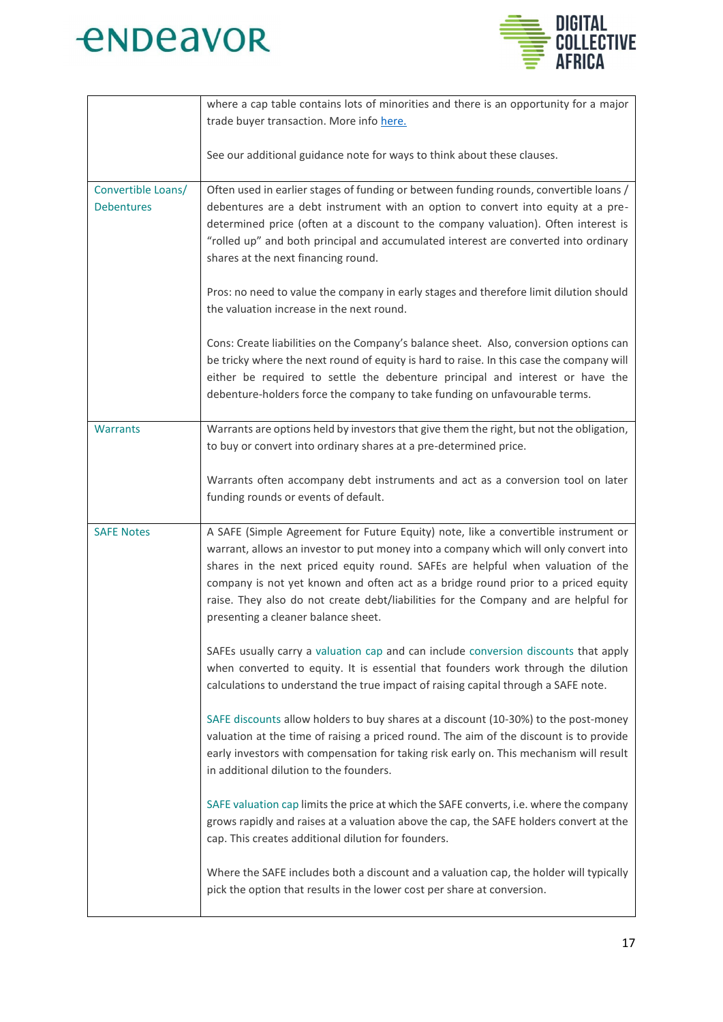



|                    | where a cap table contains lots of minorities and there is an opportunity for a major    |
|--------------------|------------------------------------------------------------------------------------------|
|                    | trade buyer transaction. More info here.                                                 |
|                    |                                                                                          |
|                    | See our additional guidance note for ways to think about these clauses.                  |
|                    |                                                                                          |
| Convertible Loans/ | Often used in earlier stages of funding or between funding rounds, convertible loans /   |
| <b>Debentures</b>  | debentures are a debt instrument with an option to convert into equity at a pre-         |
|                    | determined price (often at a discount to the company valuation). Often interest is       |
|                    | "rolled up" and both principal and accumulated interest are converted into ordinary      |
|                    | shares at the next financing round.                                                      |
|                    |                                                                                          |
|                    | Pros: no need to value the company in early stages and therefore limit dilution should   |
|                    | the valuation increase in the next round.                                                |
|                    |                                                                                          |
|                    | Cons: Create liabilities on the Company's balance sheet. Also, conversion options can    |
|                    | be tricky where the next round of equity is hard to raise. In this case the company will |
|                    | either be required to settle the debenture principal and interest or have the            |
|                    | debenture-holders force the company to take funding on unfavourable terms.               |
|                    |                                                                                          |
| <b>Warrants</b>    | Warrants are options held by investors that give them the right, but not the obligation, |
|                    | to buy or convert into ordinary shares at a pre-determined price.                        |
|                    |                                                                                          |
|                    | Warrants often accompany debt instruments and act as a conversion tool on later          |
|                    | funding rounds or events of default.                                                     |
|                    |                                                                                          |
| <b>SAFE Notes</b>  | A SAFE (Simple Agreement for Future Equity) note, like a convertible instrument or       |
|                    | warrant, allows an investor to put money into a company which will only convert into     |
|                    | shares in the next priced equity round. SAFEs are helpful when valuation of the          |
|                    | company is not yet known and often act as a bridge round prior to a priced equity        |
|                    | raise. They also do not create debt/liabilities for the Company and are helpful for      |
|                    | presenting a cleaner balance sheet.                                                      |
|                    |                                                                                          |
|                    | SAFEs usually carry a valuation cap and can include conversion discounts that apply      |
|                    | when converted to equity. It is essential that founders work through the dilution        |
|                    | calculations to understand the true impact of raising capital through a SAFE note.       |
|                    |                                                                                          |
|                    | SAFE discounts allow holders to buy shares at a discount (10-30%) to the post-money      |
|                    | valuation at the time of raising a priced round. The aim of the discount is to provide   |
|                    | early investors with compensation for taking risk early on. This mechanism will result   |
|                    | in additional dilution to the founders.                                                  |
|                    |                                                                                          |
|                    | SAFE valuation cap limits the price at which the SAFE converts, i.e. where the company   |
|                    | grows rapidly and raises at a valuation above the cap, the SAFE holders convert at the   |
|                    | cap. This creates additional dilution for founders.                                      |
|                    |                                                                                          |
|                    | Where the SAFE includes both a discount and a valuation cap, the holder will typically   |
|                    | pick the option that results in the lower cost per share at conversion.                  |
|                    |                                                                                          |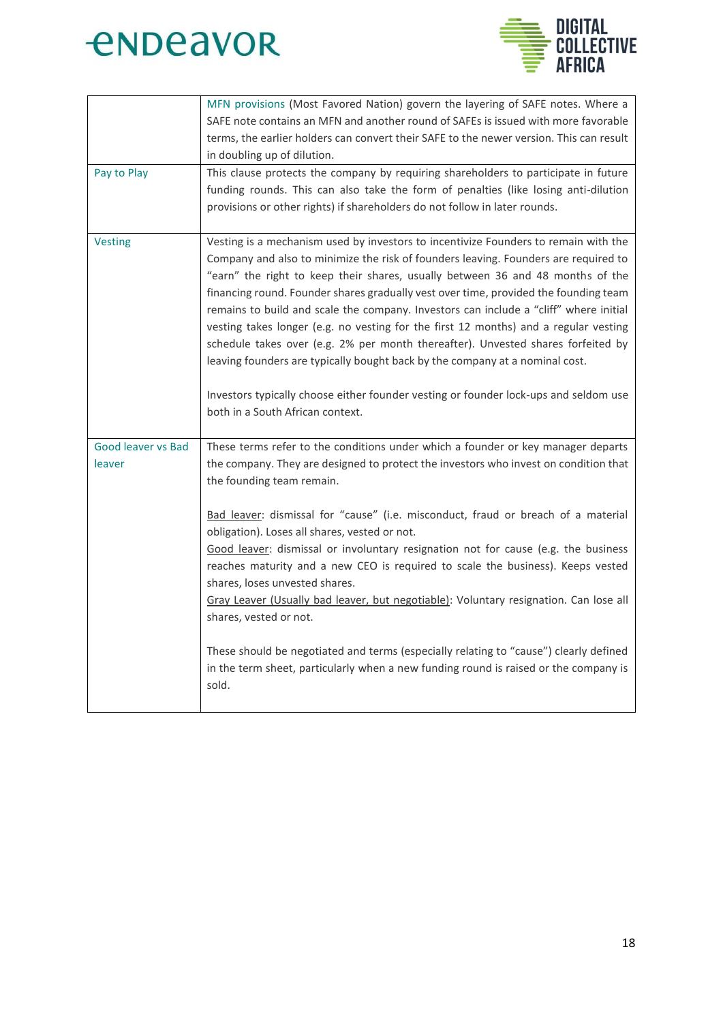



| Pay to Play                         | MFN provisions (Most Favored Nation) govern the layering of SAFE notes. Where a<br>SAFE note contains an MFN and another round of SAFEs is issued with more favorable<br>terms, the earlier holders can convert their SAFE to the newer version. This can result<br>in doubling up of dilution.<br>This clause protects the company by requiring shareholders to participate in future                                                                                                                                                                                                                                                                                                                                                                                                                                                |
|-------------------------------------|---------------------------------------------------------------------------------------------------------------------------------------------------------------------------------------------------------------------------------------------------------------------------------------------------------------------------------------------------------------------------------------------------------------------------------------------------------------------------------------------------------------------------------------------------------------------------------------------------------------------------------------------------------------------------------------------------------------------------------------------------------------------------------------------------------------------------------------|
|                                     | funding rounds. This can also take the form of penalties (like losing anti-dilution<br>provisions or other rights) if shareholders do not follow in later rounds.                                                                                                                                                                                                                                                                                                                                                                                                                                                                                                                                                                                                                                                                     |
| <b>Vesting</b>                      | Vesting is a mechanism used by investors to incentivize Founders to remain with the<br>Company and also to minimize the risk of founders leaving. Founders are required to<br>"earn" the right to keep their shares, usually between 36 and 48 months of the<br>financing round. Founder shares gradually vest over time, provided the founding team<br>remains to build and scale the company. Investors can include a "cliff" where initial<br>vesting takes longer (e.g. no vesting for the first 12 months) and a regular vesting<br>schedule takes over (e.g. 2% per month thereafter). Unvested shares forfeited by<br>leaving founders are typically bought back by the company at a nominal cost.<br>Investors typically choose either founder vesting or founder lock-ups and seldom use<br>both in a South African context. |
| <b>Good leaver vs Bad</b><br>leaver | These terms refer to the conditions under which a founder or key manager departs<br>the company. They are designed to protect the investors who invest on condition that<br>the founding team remain.                                                                                                                                                                                                                                                                                                                                                                                                                                                                                                                                                                                                                                 |
|                                     | Bad leaver: dismissal for "cause" (i.e. misconduct, fraud or breach of a material<br>obligation). Loses all shares, vested or not.<br>Good leaver: dismissal or involuntary resignation not for cause (e.g. the business<br>reaches maturity and a new CEO is required to scale the business). Keeps vested<br>shares, loses unvested shares.<br>Gray Leaver (Usually bad leaver, but negotiable): Voluntary resignation. Can lose all<br>shares, vested or not.                                                                                                                                                                                                                                                                                                                                                                      |
|                                     | These should be negotiated and terms (especially relating to "cause") clearly defined<br>in the term sheet, particularly when a new funding round is raised or the company is<br>sold.                                                                                                                                                                                                                                                                                                                                                                                                                                                                                                                                                                                                                                                |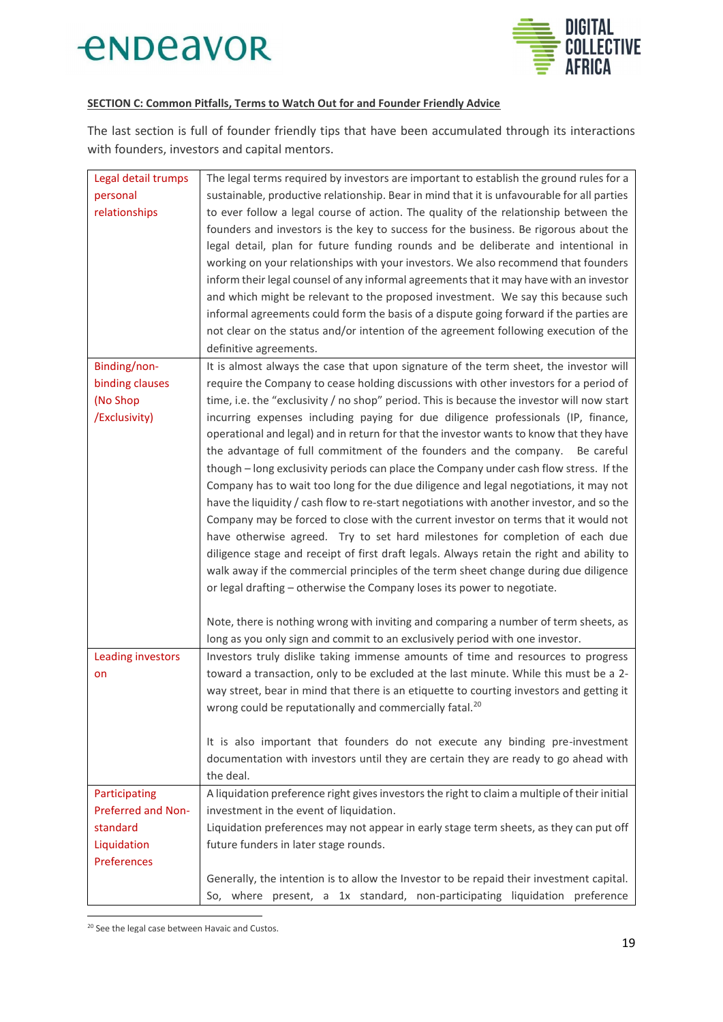



### **SECTION C: Common Pitfalls, Terms to Watch Out for and Founder Friendly Advice**

The last section is full of founder friendly tips that have been accumulated through its interactions with founders, investors and capital mentors.

| Legal detail trumps | The legal terms required by investors are important to establish the ground rules for a       |
|---------------------|-----------------------------------------------------------------------------------------------|
| personal            | sustainable, productive relationship. Bear in mind that it is unfavourable for all parties    |
| relationships       | to ever follow a legal course of action. The quality of the relationship between the          |
|                     | founders and investors is the key to success for the business. Be rigorous about the          |
|                     | legal detail, plan for future funding rounds and be deliberate and intentional in             |
|                     | working on your relationships with your investors. We also recommend that founders            |
|                     | inform their legal counsel of any informal agreements that it may have with an investor       |
|                     | and which might be relevant to the proposed investment. We say this because such              |
|                     | informal agreements could form the basis of a dispute going forward if the parties are        |
|                     | not clear on the status and/or intention of the agreement following execution of the          |
|                     | definitive agreements.                                                                        |
| Binding/non-        | It is almost always the case that upon signature of the term sheet, the investor will         |
| binding clauses     | require the Company to cease holding discussions with other investors for a period of         |
| (No Shop            | time, i.e. the "exclusivity / no shop" period. This is because the investor will now start    |
| /Exclusivity)       | incurring expenses including paying for due diligence professionals (IP, finance,             |
|                     | operational and legal) and in return for that the investor wants to know that they have       |
|                     | the advantage of full commitment of the founders and the company. Be careful                  |
|                     | though - long exclusivity periods can place the Company under cash flow stress. If the        |
|                     | Company has to wait too long for the due diligence and legal negotiations, it may not         |
|                     | have the liquidity / cash flow to re-start negotiations with another investor, and so the     |
|                     | Company may be forced to close with the current investor on terms that it would not           |
|                     | have otherwise agreed. Try to set hard milestones for completion of each due                  |
|                     | diligence stage and receipt of first draft legals. Always retain the right and ability to     |
|                     | walk away if the commercial principles of the term sheet change during due diligence          |
|                     | or legal drafting - otherwise the Company loses its power to negotiate.                       |
|                     |                                                                                               |
|                     | Note, there is nothing wrong with inviting and comparing a number of term sheets, as          |
|                     | long as you only sign and commit to an exclusively period with one investor.                  |
| Leading investors   | Investors truly dislike taking immense amounts of time and resources to progress              |
| on                  | toward a transaction, only to be excluded at the last minute. While this must be a 2-         |
|                     | way street, bear in mind that there is an etiquette to courting investors and getting it      |
|                     | wrong could be reputationally and commercially fatal. <sup>20</sup>                           |
|                     |                                                                                               |
|                     | It is also important that founders do not execute any binding pre-investment                  |
|                     | documentation with investors until they are certain they are ready to go ahead with           |
|                     | the deal.                                                                                     |
| Participating       | A liquidation preference right gives investors the right to claim a multiple of their initial |
| Preferred and Non-  | investment in the event of liquidation.                                                       |
| standard            | Liquidation preferences may not appear in early stage term sheets, as they can put off        |
| Liquidation         | future funders in later stage rounds.                                                         |
| Preferences         |                                                                                               |
|                     | Generally, the intention is to allow the Investor to be repaid their investment capital.      |
|                     | So, where present, a 1x standard, non-participating liquidation preference                    |

<sup>&</sup>lt;sup>20</sup> See the legal case between Havaic and Custos.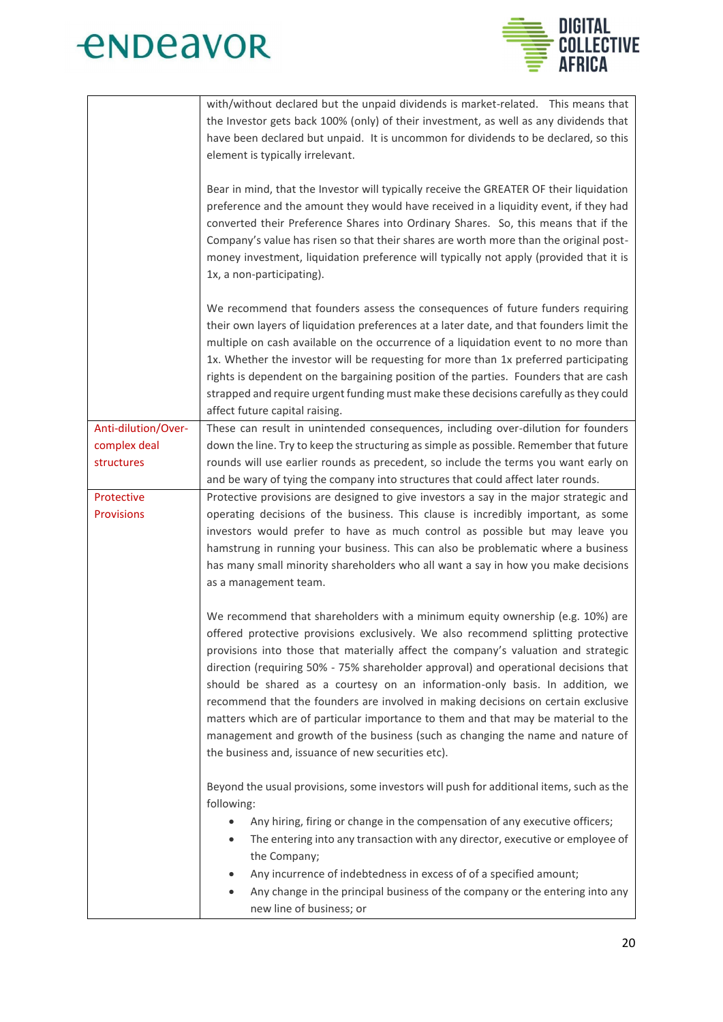



|                     | with/without declared but the unpaid dividends is market-related. This means that<br>the Investor gets back 100% (only) of their investment, as well as any dividends that<br>have been declared but unpaid. It is uncommon for dividends to be declared, so this<br>element is typically irrelevant.<br>Bear in mind, that the Investor will typically receive the GREATER OF their liquidation<br>preference and the amount they would have received in a liquidity event, if they had<br>converted their Preference Shares into Ordinary Shares. So, this means that if the<br>Company's value has risen so that their shares are worth more than the original post-<br>money investment, liquidation preference will typically not apply (provided that it is<br>1x, a non-participating). |
|---------------------|------------------------------------------------------------------------------------------------------------------------------------------------------------------------------------------------------------------------------------------------------------------------------------------------------------------------------------------------------------------------------------------------------------------------------------------------------------------------------------------------------------------------------------------------------------------------------------------------------------------------------------------------------------------------------------------------------------------------------------------------------------------------------------------------|
|                     | We recommend that founders assess the consequences of future funders requiring<br>their own layers of liquidation preferences at a later date, and that founders limit the<br>multiple on cash available on the occurrence of a liquidation event to no more than<br>1x. Whether the investor will be requesting for more than 1x preferred participating<br>rights is dependent on the bargaining position of the parties. Founders that are cash<br>strapped and require urgent funding must make these decisions carefully as they could<br>affect future capital raising.                                                                                                                                                                                                                  |
| Anti-dilution/Over- | These can result in unintended consequences, including over-dilution for founders                                                                                                                                                                                                                                                                                                                                                                                                                                                                                                                                                                                                                                                                                                              |
| complex deal        | down the line. Try to keep the structuring as simple as possible. Remember that future                                                                                                                                                                                                                                                                                                                                                                                                                                                                                                                                                                                                                                                                                                         |
| structures          | rounds will use earlier rounds as precedent, so include the terms you want early on                                                                                                                                                                                                                                                                                                                                                                                                                                                                                                                                                                                                                                                                                                            |
| Protective          | and be wary of tying the company into structures that could affect later rounds.<br>Protective provisions are designed to give investors a say in the major strategic and                                                                                                                                                                                                                                                                                                                                                                                                                                                                                                                                                                                                                      |
| <b>Provisions</b>   | operating decisions of the business. This clause is incredibly important, as some<br>investors would prefer to have as much control as possible but may leave you<br>hamstrung in running your business. This can also be problematic where a business<br>has many small minority shareholders who all want a say in how you make decisions<br>as a management team.                                                                                                                                                                                                                                                                                                                                                                                                                           |
|                     | We recommend that shareholders with a minimum equity ownership (e.g. 10%) are<br>offered protective provisions exclusively. We also recommend splitting protective<br>provisions into those that materially affect the company's valuation and strategic<br>direction (requiring 50% - 75% shareholder approval) and operational decisions that<br>should be shared as a courtesy on an information-only basis. In addition, we<br>recommend that the founders are involved in making decisions on certain exclusive<br>matters which are of particular importance to them and that may be material to the<br>management and growth of the business (such as changing the name and nature of<br>the business and, issuance of new securities etc).                                             |
|                     | Beyond the usual provisions, some investors will push for additional items, such as the<br>following:<br>Any hiring, firing or change in the compensation of any executive officers;<br>The entering into any transaction with any director, executive or employee of<br>the Company;<br>Any incurrence of indebtedness in excess of of a specified amount;<br>Any change in the principal business of the company or the entering into any<br>new line of business; or                                                                                                                                                                                                                                                                                                                        |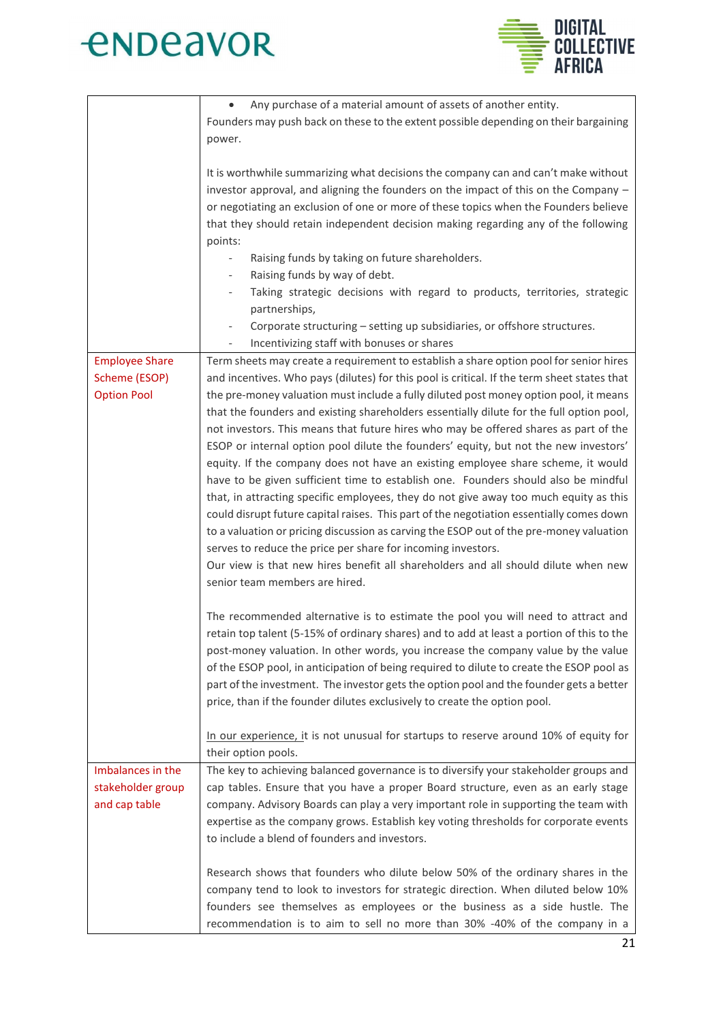



|                                                              | Any purchase of a material amount of assets of another entity.<br>Founders may push back on these to the extent possible depending on their bargaining<br>power.                                                                                                                                                                                                                                                                                                                                                                                                                                                                                                                                                                                                                                                                                                                                                                                                                                                                                                                                                                                                                                                                                                                                                                                                                              |
|--------------------------------------------------------------|-----------------------------------------------------------------------------------------------------------------------------------------------------------------------------------------------------------------------------------------------------------------------------------------------------------------------------------------------------------------------------------------------------------------------------------------------------------------------------------------------------------------------------------------------------------------------------------------------------------------------------------------------------------------------------------------------------------------------------------------------------------------------------------------------------------------------------------------------------------------------------------------------------------------------------------------------------------------------------------------------------------------------------------------------------------------------------------------------------------------------------------------------------------------------------------------------------------------------------------------------------------------------------------------------------------------------------------------------------------------------------------------------|
|                                                              | It is worthwhile summarizing what decisions the company can and can't make without<br>investor approval, and aligning the founders on the impact of this on the Company -<br>or negotiating an exclusion of one or more of these topics when the Founders believe<br>that they should retain independent decision making regarding any of the following<br>points:                                                                                                                                                                                                                                                                                                                                                                                                                                                                                                                                                                                                                                                                                                                                                                                                                                                                                                                                                                                                                            |
|                                                              | Raising funds by taking on future shareholders.<br>$\overline{\phantom{a}}$                                                                                                                                                                                                                                                                                                                                                                                                                                                                                                                                                                                                                                                                                                                                                                                                                                                                                                                                                                                                                                                                                                                                                                                                                                                                                                                   |
|                                                              | Raising funds by way of debt.<br>$\overline{\phantom{a}}$                                                                                                                                                                                                                                                                                                                                                                                                                                                                                                                                                                                                                                                                                                                                                                                                                                                                                                                                                                                                                                                                                                                                                                                                                                                                                                                                     |
|                                                              | Taking strategic decisions with regard to products, territories, strategic<br>partnerships,                                                                                                                                                                                                                                                                                                                                                                                                                                                                                                                                                                                                                                                                                                                                                                                                                                                                                                                                                                                                                                                                                                                                                                                                                                                                                                   |
|                                                              | Corporate structuring - setting up subsidiaries, or offshore structures.<br>$\overline{\phantom{a}}$<br>Incentivizing staff with bonuses or shares                                                                                                                                                                                                                                                                                                                                                                                                                                                                                                                                                                                                                                                                                                                                                                                                                                                                                                                                                                                                                                                                                                                                                                                                                                            |
| <b>Employee Share</b><br>Scheme (ESOP)<br><b>Option Pool</b> | Term sheets may create a requirement to establish a share option pool for senior hires<br>and incentives. Who pays (dilutes) for this pool is critical. If the term sheet states that<br>the pre-money valuation must include a fully diluted post money option pool, it means<br>that the founders and existing shareholders essentially dilute for the full option pool,<br>not investors. This means that future hires who may be offered shares as part of the<br>ESOP or internal option pool dilute the founders' equity, but not the new investors'<br>equity. If the company does not have an existing employee share scheme, it would<br>have to be given sufficient time to establish one. Founders should also be mindful<br>that, in attracting specific employees, they do not give away too much equity as this<br>could disrupt future capital raises. This part of the negotiation essentially comes down<br>to a valuation or pricing discussion as carving the ESOP out of the pre-money valuation<br>serves to reduce the price per share for incoming investors.<br>Our view is that new hires benefit all shareholders and all should dilute when new<br>senior team members are hired.<br>The recommended alternative is to estimate the pool you will need to attract and<br>retain top talent (5-15% of ordinary shares) and to add at least a portion of this to the |
|                                                              | post-money valuation. In other words, you increase the company value by the value<br>of the ESOP pool, in anticipation of being required to dilute to create the ESOP pool as<br>part of the investment. The investor gets the option pool and the founder gets a better<br>price, than if the founder dilutes exclusively to create the option pool.                                                                                                                                                                                                                                                                                                                                                                                                                                                                                                                                                                                                                                                                                                                                                                                                                                                                                                                                                                                                                                         |
|                                                              | In our experience, it is not unusual for startups to reserve around 10% of equity for<br>their option pools.                                                                                                                                                                                                                                                                                                                                                                                                                                                                                                                                                                                                                                                                                                                                                                                                                                                                                                                                                                                                                                                                                                                                                                                                                                                                                  |
| Imbalances in the                                            | The key to achieving balanced governance is to diversify your stakeholder groups and                                                                                                                                                                                                                                                                                                                                                                                                                                                                                                                                                                                                                                                                                                                                                                                                                                                                                                                                                                                                                                                                                                                                                                                                                                                                                                          |
| stakeholder group<br>and cap table                           | cap tables. Ensure that you have a proper Board structure, even as an early stage<br>company. Advisory Boards can play a very important role in supporting the team with<br>expertise as the company grows. Establish key voting thresholds for corporate events<br>to include a blend of founders and investors.                                                                                                                                                                                                                                                                                                                                                                                                                                                                                                                                                                                                                                                                                                                                                                                                                                                                                                                                                                                                                                                                             |
|                                                              | Research shows that founders who dilute below 50% of the ordinary shares in the<br>company tend to look to investors for strategic direction. When diluted below 10%<br>founders see themselves as employees or the business as a side hustle. The<br>recommendation is to aim to sell no more than 30% -40% of the company in a                                                                                                                                                                                                                                                                                                                                                                                                                                                                                                                                                                                                                                                                                                                                                                                                                                                                                                                                                                                                                                                              |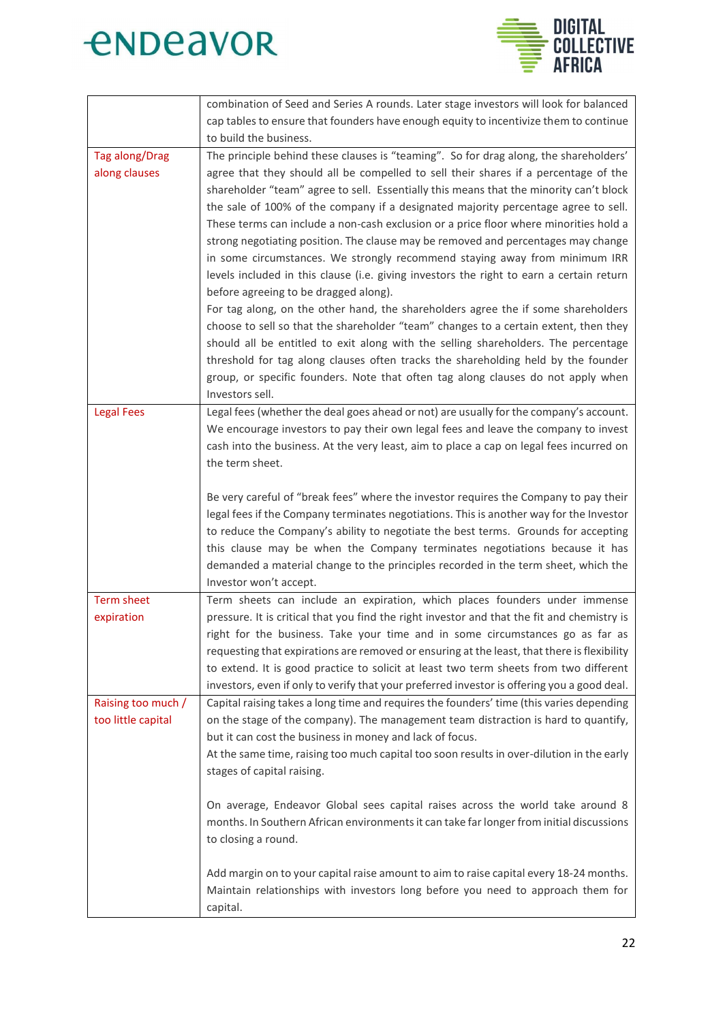



|                       | combination of Seed and Series A rounds. Later stage investors will look for balanced       |
|-----------------------|---------------------------------------------------------------------------------------------|
|                       | cap tables to ensure that founders have enough equity to incentivize them to continue       |
|                       | to build the business.                                                                      |
| <b>Tag along/Drag</b> | The principle behind these clauses is "teaming". So for drag along, the shareholders'       |
| along clauses         | agree that they should all be compelled to sell their shares if a percentage of the         |
|                       | shareholder "team" agree to sell. Essentially this means that the minority can't block      |
|                       | the sale of 100% of the company if a designated majority percentage agree to sell.          |
|                       |                                                                                             |
|                       | These terms can include a non-cash exclusion or a price floor where minorities hold a       |
|                       | strong negotiating position. The clause may be removed and percentages may change           |
|                       | in some circumstances. We strongly recommend staying away from minimum IRR                  |
|                       | levels included in this clause (i.e. giving investors the right to earn a certain return    |
|                       | before agreeing to be dragged along).                                                       |
|                       | For tag along, on the other hand, the shareholders agree the if some shareholders           |
|                       | choose to sell so that the shareholder "team" changes to a certain extent, then they        |
|                       | should all be entitled to exit along with the selling shareholders. The percentage          |
|                       | threshold for tag along clauses often tracks the shareholding held by the founder           |
|                       | group, or specific founders. Note that often tag along clauses do not apply when            |
|                       | Investors sell.                                                                             |
| <b>Legal Fees</b>     | Legal fees (whether the deal goes ahead or not) are usually for the company's account.      |
|                       | We encourage investors to pay their own legal fees and leave the company to invest          |
|                       | cash into the business. At the very least, aim to place a cap on legal fees incurred on     |
|                       | the term sheet.                                                                             |
|                       |                                                                                             |
|                       | Be very careful of "break fees" where the investor requires the Company to pay their        |
|                       | legal fees if the Company terminates negotiations. This is another way for the Investor     |
|                       | to reduce the Company's ability to negotiate the best terms. Grounds for accepting          |
|                       | this clause may be when the Company terminates negotiations because it has                  |
|                       |                                                                                             |
|                       | demanded a material change to the principles recorded in the term sheet, which the          |
|                       | Investor won't accept.                                                                      |
| Term sheet            | Term sheets can include an expiration, which places founders under immense                  |
| expiration            | pressure. It is critical that you find the right investor and that the fit and chemistry is |
|                       | right for the business. Take your time and in some circumstances go as far as               |
|                       | requesting that expirations are removed or ensuring at the least, that there is flexibility |
|                       | to extend. It is good practice to solicit at least two term sheets from two different       |
|                       | investors, even if only to verify that your preferred investor is offering you a good deal. |
| Raising too much /    | Capital raising takes a long time and requires the founders' time (this varies depending    |
| too little capital    | on the stage of the company). The management team distraction is hard to quantify,          |
|                       | but it can cost the business in money and lack of focus.                                    |
|                       | At the same time, raising too much capital too soon results in over-dilution in the early   |
|                       | stages of capital raising.                                                                  |
|                       |                                                                                             |
|                       | On average, Endeavor Global sees capital raises across the world take around 8              |
|                       | months. In Southern African environments it can take far longer from initial discussions    |
|                       | to closing a round.                                                                         |
|                       |                                                                                             |
|                       | Add margin on to your capital raise amount to aim to raise capital every 18-24 months.      |
|                       | Maintain relationships with investors long before you need to approach them for             |
|                       | capital.                                                                                    |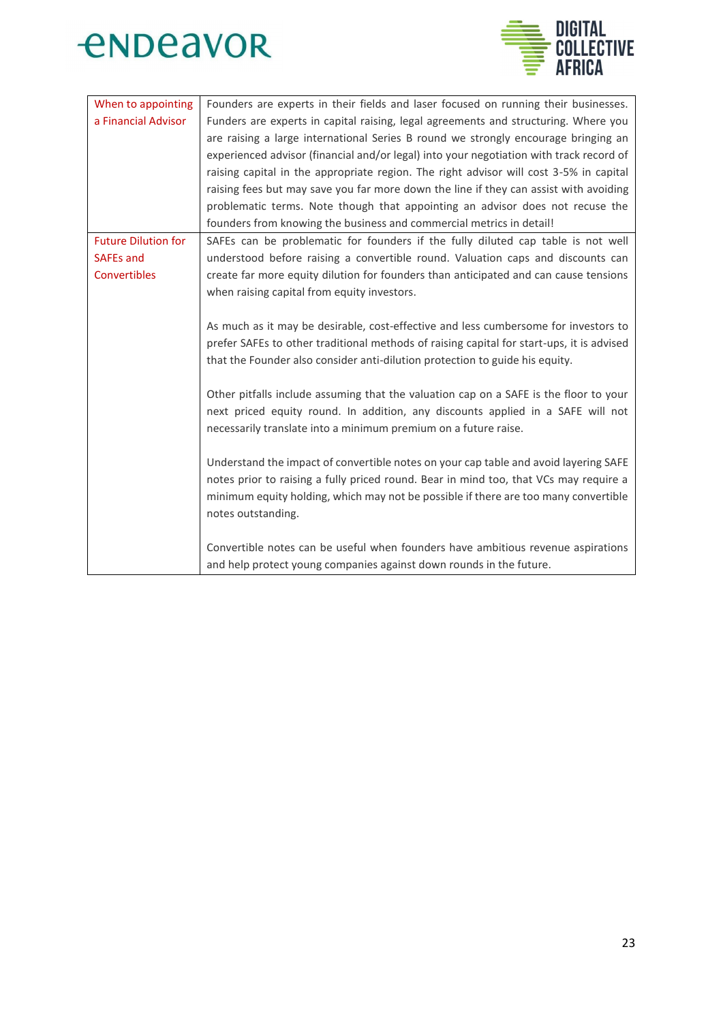



| When to appointing         | Founders are experts in their fields and laser focused on running their businesses.       |
|----------------------------|-------------------------------------------------------------------------------------------|
| a Financial Advisor        | Funders are experts in capital raising, legal agreements and structuring. Where you       |
|                            | are raising a large international Series B round we strongly encourage bringing an        |
|                            | experienced advisor (financial and/or legal) into your negotiation with track record of   |
|                            | raising capital in the appropriate region. The right advisor will cost 3-5% in capital    |
|                            | raising fees but may save you far more down the line if they can assist with avoiding     |
|                            | problematic terms. Note though that appointing an advisor does not recuse the             |
|                            | founders from knowing the business and commercial metrics in detail!                      |
| <b>Future Dilution for</b> | SAFEs can be problematic for founders if the fully diluted cap table is not well          |
| <b>SAFEs and</b>           | understood before raising a convertible round. Valuation caps and discounts can           |
| Convertibles               | create far more equity dilution for founders than anticipated and can cause tensions      |
|                            | when raising capital from equity investors.                                               |
|                            |                                                                                           |
|                            | As much as it may be desirable, cost-effective and less cumbersome for investors to       |
|                            | prefer SAFEs to other traditional methods of raising capital for start-ups, it is advised |
|                            | that the Founder also consider anti-dilution protection to guide his equity.              |
|                            |                                                                                           |
|                            | Other pitfalls include assuming that the valuation cap on a SAFE is the floor to your     |
|                            | next priced equity round. In addition, any discounts applied in a SAFE will not           |
|                            | necessarily translate into a minimum premium on a future raise.                           |
|                            |                                                                                           |
|                            | Understand the impact of convertible notes on your cap table and avoid layering SAFE      |
|                            | notes prior to raising a fully priced round. Bear in mind too, that VCs may require a     |
|                            | minimum equity holding, which may not be possible if there are too many convertible       |
|                            | notes outstanding.                                                                        |
|                            |                                                                                           |
|                            | Convertible notes can be useful when founders have ambitious revenue aspirations          |
|                            | and help protect young companies against down rounds in the future.                       |